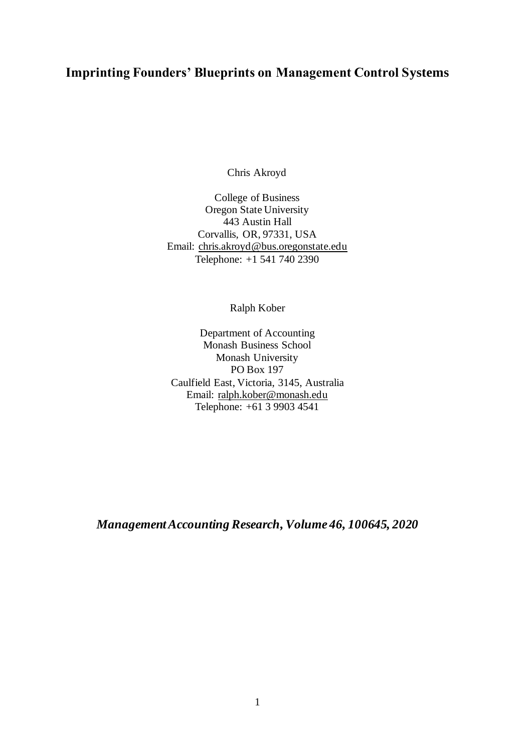# **Imprinting Founders' Blueprints on Management Control Systems**

Chris Akroyd

College of Business Oregon State University 443 Austin Hall Corvallis, OR, 97331, USA Email: [chris.akroyd@bus.oregonstate.edu](mailto:chris.akroyd@bus.oregonstate.edu) Telephone: +1 541 740 2390

Ralph Kober

Department of Accounting Monash Business School Monash University PO Box 197 Caulfield East, Victoria, 3145, Australia Email: [ralph.kober@monash.edu](mailto:ralph.kober@monash.edu) Telephone: +61 3 9903 4541

*Management Accounting Research, Volume 46, 100645, 2020*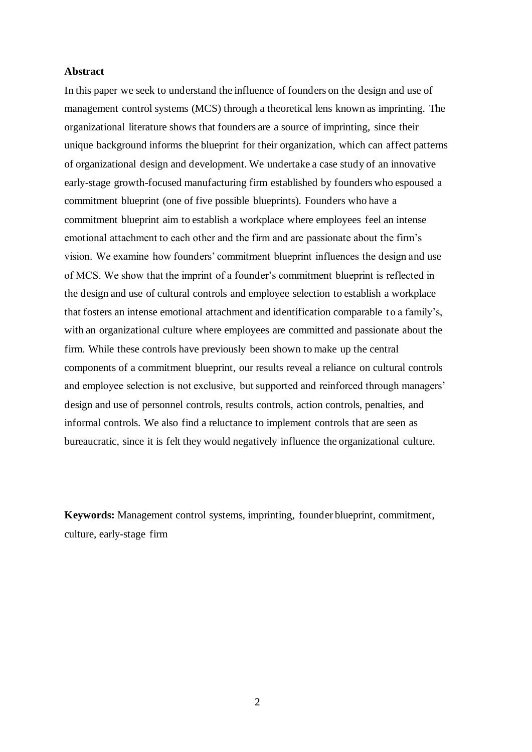# **Abstract**

In this paper we seek to understand the influence of founders on the design and use of management control systems (MCS) through a theoretical lens known as imprinting. The organizational literature shows that founders are a source of imprinting, since their unique background informs the blueprint for their organization, which can affect patterns of organizational design and development. We undertake a case study of an innovative early-stage growth-focused manufacturing firm established by founders who espoused a commitment blueprint (one of five possible blueprints). Founders who have a commitment blueprint aim to establish a workplace where employees feel an intense emotional attachment to each other and the firm and are passionate about the firm's vision. We examine how founders' commitment blueprint influences the design and use of MCS. We show that the imprint of a founder's commitment blueprint is reflected in the design and use of cultural controls and employee selection to establish a workplace that fosters an intense emotional attachment and identification comparable to a family's, with an organizational culture where employees are committed and passionate about the firm. While these controls have previously been shown to make up the central components of a commitment blueprint, our results reveal a reliance on cultural controls and employee selection is not exclusive, but supported and reinforced through managers' design and use of personnel controls, results controls, action controls, penalties, and informal controls. We also find a reluctance to implement controls that are seen as bureaucratic, since it is felt they would negatively influence the organizational culture.

**Keywords:** Management control systems, imprinting, founder blueprint, commitment, culture, early-stage firm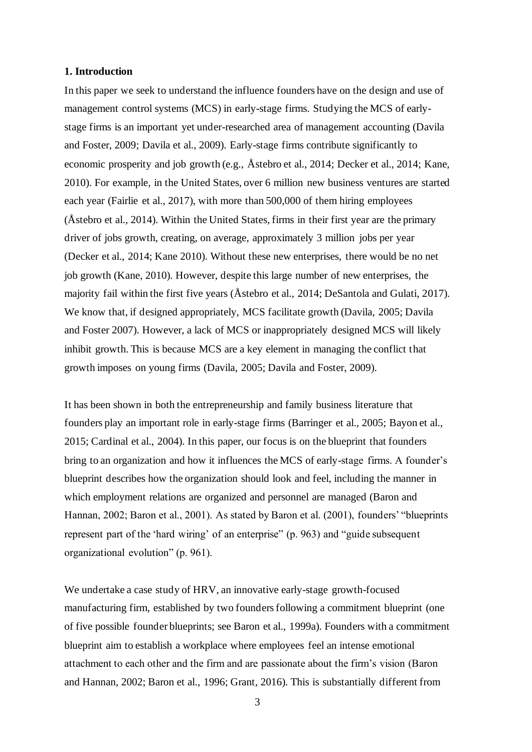### **1. Introduction**

In this paper we seek to understand the influence founders have on the design and use of management control systems (MCS) in early-stage firms. Studying the MCS of earlystage firms is an important yet under-researched area of management accounting (Davila and Foster, 2009; Davila et al., 2009). Early-stage firms contribute significantly to economic prosperity and job growth (e.g., Åstebro et al., 2014; Decker et al., 2014; Kane, 2010). For example, in the United States, over 6 million new business ventures are started each year (Fairlie et al., 2017), with more than 500,000 of them hiring employees (Åstebro et al., 2014). Within the United States, firms in their first year are the primary driver of jobs growth, creating, on average, approximately 3 million jobs per year (Decker et al., 2014; Kane 2010). Without these new enterprises, there would be no net job growth (Kane, 2010). However, despite this large number of new enterprises, the majority fail within the first five years (Åstebro et al., 2014; DeSantola and Gulati, 2017). We know that, if designed appropriately, MCS facilitate growth (Davila, 2005; Davila and Foster 2007). However, a lack of MCS or inappropriately designed MCS will likely inhibit growth. This is because MCS are a key element in managing the conflict that growth imposes on young firms (Davila, 2005; Davila and Foster, 2009).

It has been shown in both the entrepreneurship and family business literature that founders play an important role in early-stage firms (Barringer et al., 2005; Bayon et al., 2015; Cardinal et al., 2004). In this paper, our focus is on the blueprint that founders bring to an organization and how it influences the MCS of early-stage firms. A founder's blueprint describes how the organization should look and feel, including the manner in which employment relations are organized and personnel are managed (Baron and Hannan, 2002; Baron et al., 2001). As stated by Baron et al. (2001), founders' "blueprints represent part of the 'hard wiring' of an enterprise" (p. 963) and "guide subsequent organizational evolution" (p. 961).

We undertake a case study of HRV, an innovative early-stage growth-focused manufacturing firm, established by two founders following a commitment blueprint (one of five possible founder blueprints; see Baron et al., 1999a). Founders with a commitment blueprint aim to establish a workplace where employees feel an intense emotional attachment to each other and the firm and are passionate about the firm's vision (Baron and Hannan, 2002; Baron et al., 1996; Grant, 2016). This is substantially different from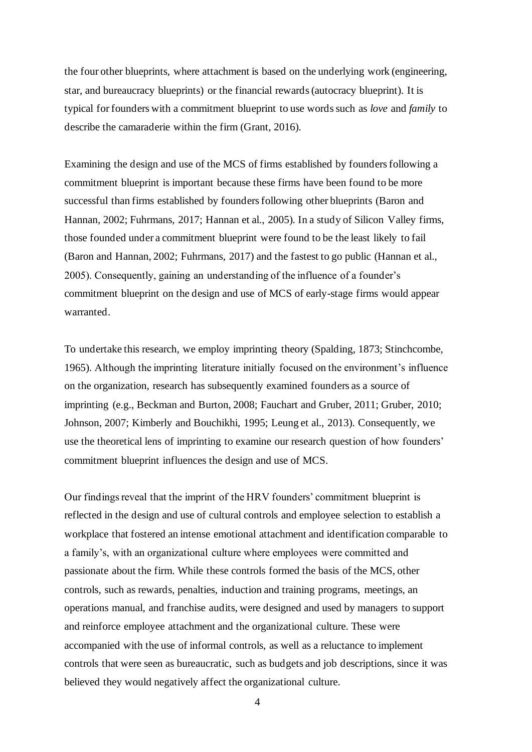the four other blueprints, where attachment is based on the underlying work (engineering, star, and bureaucracy blueprints) or the financial rewards (autocracy blueprint). It is typical for founders with a commitment blueprint to use words such as *love* and *family* to describe the camaraderie within the firm (Grant, 2016).

Examining the design and use of the MCS of firms established by founders following a commitment blueprint is important because these firms have been found to be more successful than firms established by founders following other blueprints (Baron and Hannan, 2002; Fuhrmans, 2017; Hannan et al., 2005). In a study of Silicon Valley firms, those founded under a commitment blueprint were found to be the least likely to fail (Baron and Hannan, 2002; Fuhrmans, 2017) and the fastest to go public (Hannan et al., 2005). Consequently, gaining an understanding of the influence of a founder's commitment blueprint on the design and use of MCS of early-stage firms would appear warranted.

To undertake this research, we employ imprinting theory (Spalding, 1873; Stinchcombe, 1965). Although the imprinting literature initially focused on the environment's influence on the organization, research has subsequently examined founders as a source of imprinting (e.g., Beckman and Burton, 2008; Fauchart and Gruber, 2011; Gruber, 2010; Johnson, 2007; Kimberly and Bouchikhi, 1995; Leung et al., 2013). Consequently, we use the theoretical lens of imprinting to examine our research question of how founders' commitment blueprint influences the design and use of MCS.

Our findings reveal that the imprint of the HRV founders' commitment blueprint is reflected in the design and use of cultural controls and employee selection to establish a workplace that fostered an intense emotional attachment and identification comparable to a family's, with an organizational culture where employees were committed and passionate about the firm. While these controls formed the basis of the MCS, other controls, such as rewards, penalties, induction and training programs, meetings, an operations manual, and franchise audits, were designed and used by managers to support and reinforce employee attachment and the organizational culture. These were accompanied with the use of informal controls, as well as a reluctance to implement controls that were seen as bureaucratic, such as budgets and job descriptions, since it was believed they would negatively affect the organizational culture.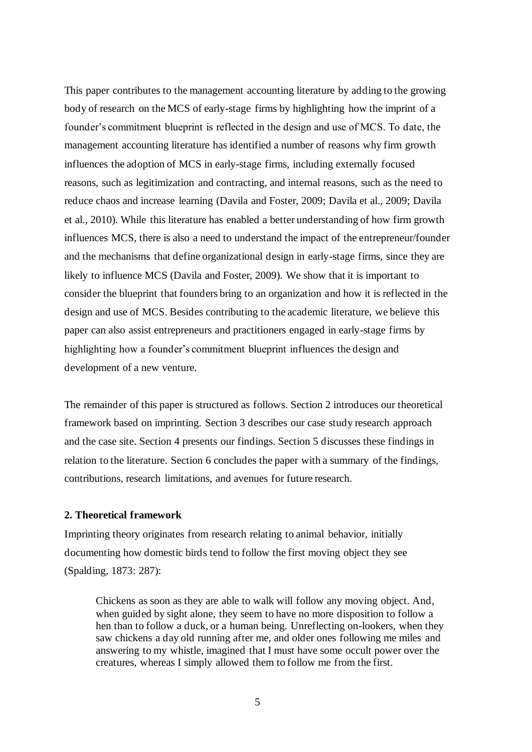This paper contributes to the management accounting literature by adding to the growing body of research on the MCS of early-stage firms by highlighting how the imprint of a founder's commitment blueprint is reflected in the design and use of MCS. To date, the management accounting literature has identified a number of reasons why firm growth influences the adoption of MCS in early-stage firms, including externally focused reasons, such as legitimization and contracting, and internal reasons, such as the need to reduce chaos and increase learning (Davila and Foster, 2009; Davila et al., 2009; Davila et al., 2010). While this literature has enabled a better understanding of how firm growth influences MCS, there is also a need to understand the impact of the entrepreneur/founder and the mechanisms that define organizational design in early-stage firms, since they are likely to influence MCS (Davila and Foster, 2009). We show that it is important to consider the blueprint that founders bring to an organization and how it is reflected in the design and use of MCS. Besides contributing to the academic literature, we believe this paper can also assist entrepreneurs and practitioners engaged in early-stage firms by highlighting how a founder's commitment blueprint influences the design and development of a new venture.

The remainder of this paper is structured as follows. Section 2 introduces our theoretical framework based on imprinting. Section 3 describes our case study research approach and the case site. Section 4 presents our findings. Section 5 discusses these findings in relation to the literature. Section 6 concludes the paper with a summary of the findings, contributions, research limitations, and avenues for future research.

# **2. Theoretical framework**

Imprinting theory originates from research relating to animal behavior, initially documenting how domestic birds tend to follow the first moving object they see (Spalding, 1873: 287):

Chickens as soon as they are able to walk will follow any moving object. And, when guided by sight alone, they seem to have no more disposition to follow a hen than to follow a duck, or a human being. Unreflecting on-lookers, when they saw chickens a day old running after me, and older ones following me miles and answering to my whistle, imagined that I must have some occult power over the creatures, whereas I simply allowed them to follow me from the first.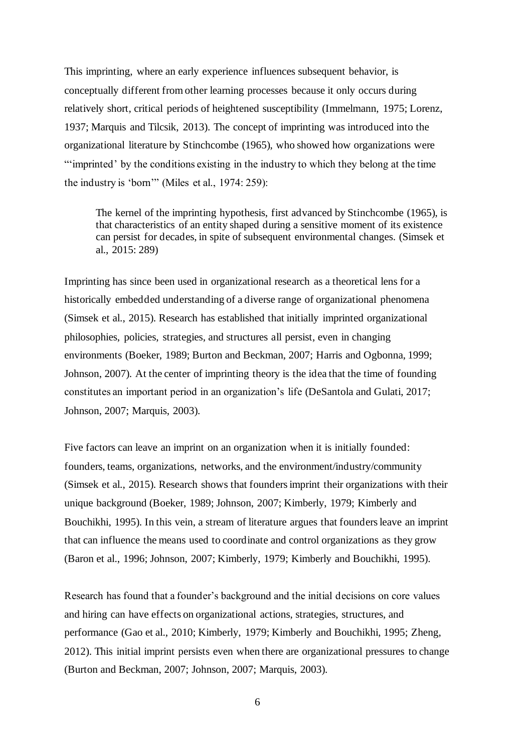This imprinting, where an early experience influences subsequent behavior, is conceptually different from other learning processes because it only occurs during relatively short, critical periods of heightened susceptibility (Immelmann, 1975; Lorenz, 1937; Marquis and Tilcsik, 2013). The concept of imprinting was introduced into the organizational literature by Stinchcombe (1965), who showed how organizations were "'imprinted' by the conditions existing in the industry to which they belong at the time the industry is 'born'" (Miles et al., 1974: 259):

The kernel of the imprinting hypothesis, first advanced by Stinchcombe (1965), is that characteristics of an entity shaped during a sensitive moment of its existence can persist for decades, in spite of subsequent environmental changes. (Simsek et al., 2015: 289)

Imprinting has since been used in organizational research as a theoretical lens for a historically embedded understanding of a diverse range of organizational phenomena (Simsek et al., 2015). Research has established that initially imprinted organizational philosophies, policies, strategies, and structures all persist, even in changing environments (Boeker, 1989; Burton and Beckman, 2007; Harris and Ogbonna, 1999; Johnson, 2007). At the center of imprinting theory is the idea that the time of founding constitutes an important period in an organization's life (DeSantola and Gulati, 2017; Johnson, 2007; Marquis, 2003).

Five factors can leave an imprint on an organization when it is initially founded: founders, teams, organizations, networks, and the environment/industry/community (Simsek et al., 2015). Research shows that founders imprint their organizations with their unique background (Boeker, 1989; Johnson, 2007; Kimberly, 1979; Kimberly and Bouchikhi, 1995). In this vein, a stream of literature argues that founders leave an imprint that can influence the means used to coordinate and control organizations as they grow (Baron et al., 1996; Johnson, 2007; Kimberly, 1979; Kimberly and Bouchikhi, 1995).

Research has found that a founder's background and the initial decisions on core values and hiring can have effects on organizational actions, strategies, structures, and performance (Gao et al., 2010; Kimberly, 1979; Kimberly and Bouchikhi, 1995; Zheng, 2012). This initial imprint persists even when there are organizational pressures to change (Burton and Beckman, 2007; Johnson, 2007; Marquis, 2003).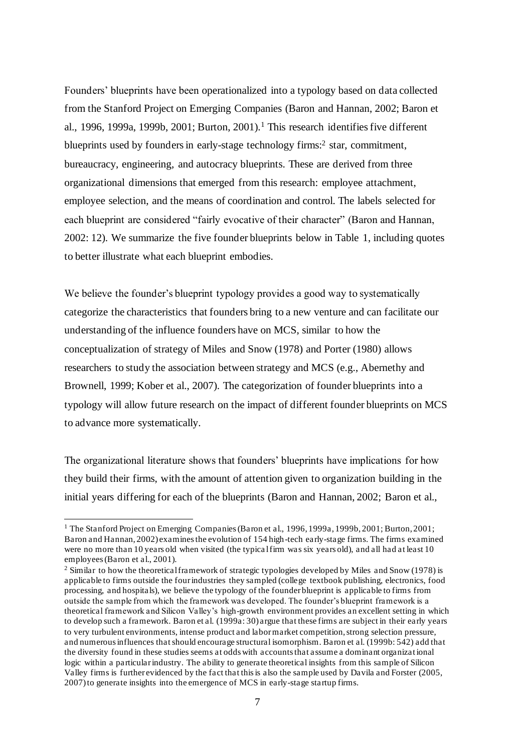Founders' blueprints have been operationalized into a typology based on data collected from the Stanford Project on Emerging Companies (Baron and Hannan, 2002; Baron et al., 1996, 1999a, 1999b, 2001; Burton, 2001).<sup>1</sup> This research identifies five different blueprints used by founders in early-stage technology firms:<sup>2</sup> star, commitment, bureaucracy, engineering, and autocracy blueprints. These are derived from three organizational dimensions that emerged from this research: employee attachment, employee selection, and the means of coordination and control. The labels selected for each blueprint are considered "fairly evocative of their character" (Baron and Hannan, 2002: 12). We summarize the five founder blueprints below in Table 1, including quotes to better illustrate what each blueprint embodies.

We believe the founder's blueprint typology provides a good way to systematically categorize the characteristics that founders bring to a new venture and can facilitate our understanding of the influence founders have on MCS, similar to how the conceptualization of strategy of Miles and Snow (1978) and Porter (1980) allows researchers to study the association between strategy and MCS (e.g., Abernethy and Brownell, 1999; Kober et al., 2007). The categorization of founder blueprints into a typology will allow future research on the impact of different founder blueprints on MCS to advance more systematically.

The organizational literature shows that founders' blueprints have implications for how they build their firms, with the amount of attention given to organization building in the initial years differing for each of the blueprints (Baron and Hannan, 2002; Baron et al.,

<sup>1</sup> The Stanford Project on Emerging Companies (Baron et al., 1996, 1999a, 1999b, 2001; Burton, 2001; Baron and Hannan, 2002) examines the evolution of 154 high-tech early-stage firms. The firms examined were no more than 10 years old when visited (the typica l firm was six years old), and all had at least 10 employees (Baron et al., 2001).

<sup>2</sup> Similar to how the theoretical framework of strategic typologies developed by Miles and Snow (1978) is applicable to firms outside the four industries they sampled (college textbook publishing, electronics, food processing, and hospitals), we believe the typology of the founder blueprint is applicable to firms from outside the sample from which the framework was developed. The founder's blueprint framework is a theoretical framework and Silicon Valley's high-growth environment provides an excellent setting in which to develop such a framework. Baron et al. (1999a: 30) argue that these firms are subject in their early years to very turbulent environments, intense product and labor market competition, strong selection pressure, and numerous influences that should encourage structural isomorphism. Baron et al. (1999b: 542) add that the diversity found in these studies seems at odds with accounts that assume a dominant organizat ional logic within a particular industry. The ability to generate theoretical insights from this sample of Silicon Valley firms is further evidenced by the fact that this is also the sample used by Davila and Forster (2005, 2007) to generate insights into the emergence of MCS in early-stage startup firms.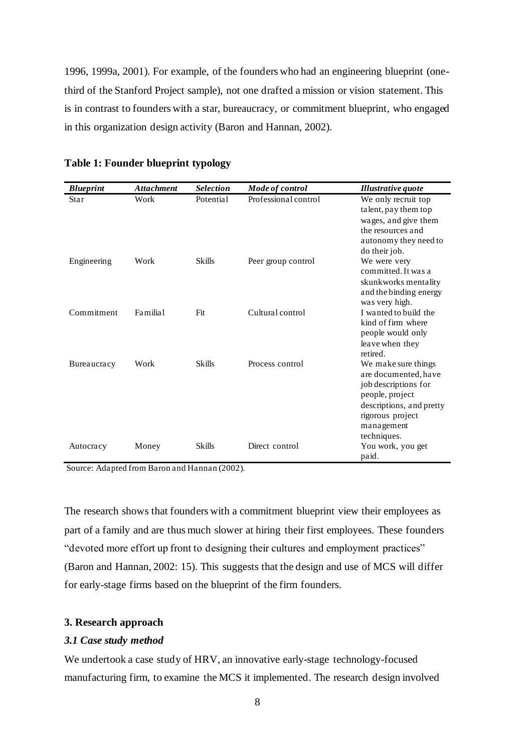1996, 1999a, 2001). For example, of the founders who had an engineering blueprint (onethird of the Stanford Project sample), not one drafted a mission or vision statement. This is in contrast to founders with a star, bureaucracy, or commitment blueprint, who engaged in this organization design activity (Baron and Hannan, 2002).

| <b>Blueprint</b> | <b>Attachment</b> | <b>Selection</b> | Mode of control      | <b>Illustrative quote</b>                                                                                                                                           |
|------------------|-------------------|------------------|----------------------|---------------------------------------------------------------------------------------------------------------------------------------------------------------------|
| Star             | Work              | Potential        | Professional control | We only recruit top<br>talent, pay them top<br>wages, and give them<br>the resources and<br>autonomy they need to<br>do their job.                                  |
| Engineering      | Work              | Skills           | Peer group control   | We were very<br>committed. It was a<br>skunkworks mentality<br>and the binding energy<br>was very high.                                                             |
| Commitment       | Familial          | Fit              | Cultural control     | I wanted to build the<br>kind of firm where<br>people would only<br>leave when they<br>retired.                                                                     |
| Bureaucracy      | Work              | Skills           | Process control      | We make sure things<br>are documented, have<br>job descriptions for<br>people, project<br>descriptions, and pretty<br>rigorous project<br>management<br>techniques. |
| Autocracy        | Money             | Skills           | Direct control       | You work, you get<br>paid.                                                                                                                                          |

**Table 1: Founder blueprint typology**

Source: Adapted from Baron and Hannan (2002).

The research shows that founders with a commitment blueprint view their employees as part of a family and are thus much slower at hiring their first employees. These founders "devoted more effort up front to designing their cultures and employment practices" (Baron and Hannan, 2002: 15). This suggests that the design and use of MCS will differ for early-stage firms based on the blueprint of the firm founders.

### **3. Research approach**

### *3.1 Case study method*

We undertook a case study of HRV, an innovative early-stage technology-focused manufacturing firm, to examine the MCS it implemented. The research design involved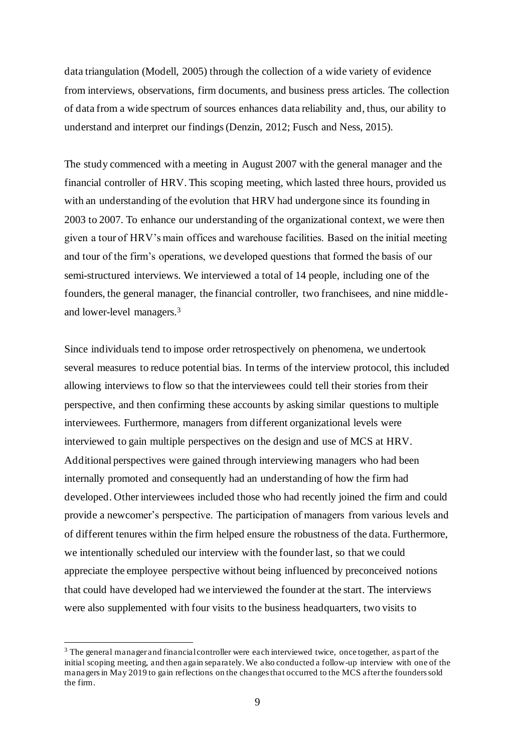data triangulation (Modell, 2005) through the collection of a wide variety of evidence from interviews, observations, firm documents, and business press articles. The collection of data from a wide spectrum of sources enhances data reliability and, thus, our ability to understand and interpret our findings (Denzin, 2012; Fusch and Ness, 2015).

The study commenced with a meeting in August 2007 with the general manager and the financial controller of HRV. This scoping meeting, which lasted three hours, provided us with an understanding of the evolution that HRV had undergone since its founding in 2003 to 2007. To enhance our understanding of the organizational context, we were then given a tour of HRV's main offices and warehouse facilities. Based on the initial meeting and tour of the firm's operations, we developed questions that formed the basis of our semi-structured interviews. We interviewed a total of 14 people, including one of the founders, the general manager, the financial controller, two franchisees, and nine middleand lower-level managers.<sup>3</sup>

Since individuals tend to impose order retrospectively on phenomena, we undertook several measures to reduce potential bias. In terms of the interview protocol, this included allowing interviews to flow so that the interviewees could tell their stories from their perspective, and then confirming these accounts by asking similar questions to multiple interviewees. Furthermore, managers from different organizational levels were interviewed to gain multiple perspectives on the design and use of MCS at HRV. Additional perspectives were gained through interviewing managers who had been internally promoted and consequently had an understanding of how the firm had developed. Other interviewees included those who had recently joined the firm and could provide a newcomer's perspective. The participation of managers from various levels and of different tenures within the firm helped ensure the robustness of the data. Furthermore, we intentionally scheduled our interview with the founder last, so that we could appreciate the employee perspective without being influenced by preconceived notions that could have developed had we interviewed the founder at the start. The interviews were also supplemented with four visits to the business headquarters, two visits to

<sup>&</sup>lt;sup>3</sup> The general manager and financial controller were each interviewed twice, once together, as part of the initial scoping meeting, and then again separately. We also conducted a follow-up interview with one of the managers in May 2019 to gain reflections on the changes that occurred to the MCS after the founders sold the firm.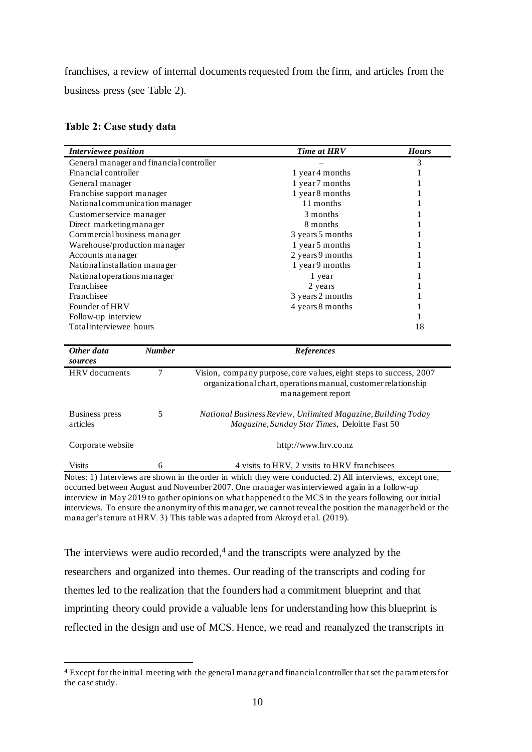franchises, a review of internal documents requested from the firm, and articles from the business press (see Table 2).

# **Table 2: Case study data**

| Interviewee position                     | <b>Time at HRV</b> | <b>Hours</b> |
|------------------------------------------|--------------------|--------------|
| General manager and financial controller |                    | 3            |
| Financial controller                     | 1 year 4 months    |              |
| General manager                          | 1 year7 months     |              |
| Franchise support manager                | 1 year 8 months    |              |
| National communication manager           | 11 months          |              |
| Customer service manager                 | 3 months           |              |
| Direct marketing manager                 | 8 months           |              |
| Commercial business manager              | 3 years 5 months   |              |
| Warehouse/production manager             | 1 year 5 months    |              |
| Accounts manager                         | 2 years 9 months   |              |
| National installation manager            | 1 year9 months     |              |
| National operations manager              | 1 year             |              |
| Franchisee                               | 2 years            |              |
| Franchisee                               | 3 years 2 months   |              |
| Founder of HRV                           | 4 years 8 months   |              |
| Follow-up interview                      |                    |              |
| Total interviewee hours                  |                    | 18           |

| Other data<br>sources      | <b>Number</b> | <b>References</b>                                                                                                                                         |
|----------------------------|---------------|-----------------------------------------------------------------------------------------------------------------------------------------------------------|
| <b>HRV</b> documents       | 7             | Vision, company purpose, core values, eight steps to success, 2007<br>organizational chart, operations manual, customer relationship<br>management report |
| Business press<br>articles | 5             | National Business Review, Unlimited Magazine, Building Today<br>Magazine, Sunday Star Times, Deloitte Fast 50                                             |
| Corporate website          |               | http://www.hrv.co.nz                                                                                                                                      |
| Visits                     | 6             | 4 visits to HRV, 2 visits to HRV franchisees                                                                                                              |

Notes: 1) Interviews are shown in the order in which they were conducted. 2) All interviews, except one, occurred between August and November 2007. One manager was interviewed again in a follow-up interview in May 2019 to gather opinions on what happened to the MCS in the years following our initial interviews. To ensure the anonymity of this manager, we cannot reveal the position the manager held or the manager's tenure at HRV. 3) This table was adapted from Akroyd et al. (2019).

The interviews were audio recorded, $4$  and the transcripts were analyzed by the researchers and organized into themes. Our reading of the transcripts and coding for themes led to the realization that the founders had a commitment blueprint and that imprinting theory could provide a valuable lens for understanding how this blueprint is reflected in the design and use of MCS. Hence, we read and reanalyzed the transcripts in

<sup>4</sup> Except for the initial meeting with the general manager and financial controller that set the parameters for the case study.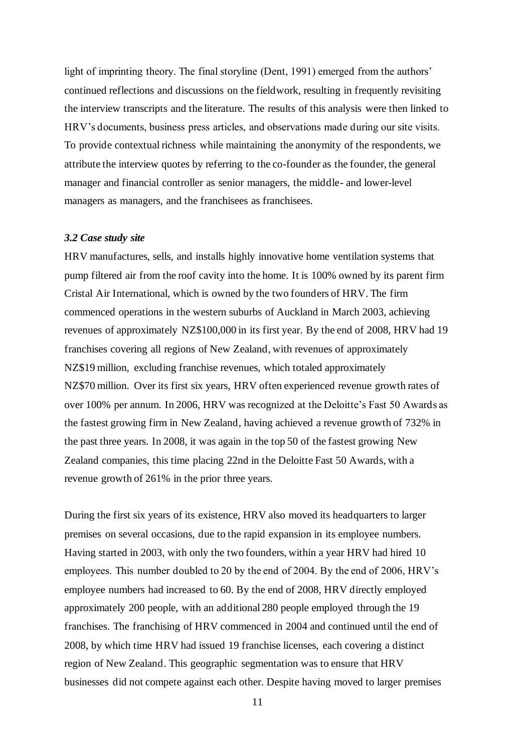light of imprinting theory. The final storyline (Dent, 1991) emerged from the authors' continued reflections and discussions on the fieldwork, resulting in frequently revisiting the interview transcripts and the literature. The results of this analysis were then linked to HRV's documents, business press articles, and observations made during our site visits. To provide contextual richness while maintaining the anonymity of the respondents, we attribute the interview quotes by referring to the co-founder as the founder, the general manager and financial controller as senior managers, the middle- and lower-level managers as managers, and the franchisees as franchisees.

#### *3.2 Case study site*

HRV manufactures, sells, and installs highly innovative home ventilation systems that pump filtered air from the roof cavity into the home. It is 100% owned by its parent firm Cristal Air International, which is owned by the two founders of HRV. The firm commenced operations in the western suburbs of Auckland in March 2003, achieving revenues of approximately NZ\$100,000 in its first year. By the end of 2008, HRV had 19 franchises covering all regions of New Zealand, with revenues of approximately NZ\$19 million, excluding franchise revenues, which totaled approximately NZ\$70 million. Over its first six years, HRV often experienced revenue growth rates of over 100% per annum. In 2006, HRV was recognized at the Deloitte's Fast 50 Awards as the fastest growing firm in New Zealand, having achieved a revenue growth of 732% in the past three years. In 2008, it was again in the top 50 of the fastest growing New Zealand companies, this time placing 22nd in the Deloitte Fast 50 Awards, with a revenue growth of 261% in the prior three years.

During the first six years of its existence, HRV also moved its headquarters to larger premises on several occasions, due to the rapid expansion in its employee numbers. Having started in 2003, with only the two founders, within a year HRV had hired 10 employees. This number doubled to 20 by the end of 2004. By the end of 2006, HRV's employee numbers had increased to 60. By the end of 2008, HRV directly employed approximately 200 people, with an additional 280 people employed through the 19 franchises. The franchising of HRV commenced in 2004 and continued until the end of 2008, by which time HRV had issued 19 franchise licenses, each covering a distinct region of New Zealand. This geographic segmentation was to ensure that HRV businesses did not compete against each other. Despite having moved to larger premises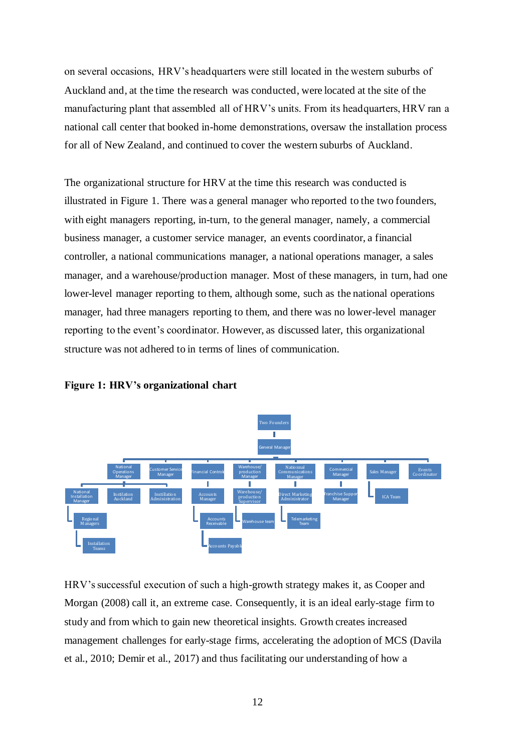on several occasions, HRV's headquarters were still located in the western suburbs of Auckland and, at the time the research was conducted, were located at the site of the manufacturing plant that assembled all of HRV's units. From its headquarters, HRV ran a national call center that booked in-home demonstrations, oversaw the installation process for all of New Zealand, and continued to cover the western suburbs of Auckland.

The organizational structure for HRV at the time this research was conducted is illustrated in Figure 1. There was a general manager who reported to the two founders, with eight managers reporting, in-turn, to the general manager, namely, a commercial business manager, a customer service manager, an events coordinator, a financial controller, a national communications manager, a national operations manager, a sales manager, and a warehouse/production manager. Most of these managers, in turn, had one lower-level manager reporting to them, although some, such as the national operations manager, had three managers reporting to them, and there was no lower-level manager reporting to the event's coordinator. However, as discussed later, this organizational structure was not adhered to in terms of lines of communication.



**Figure 1: HRV's organizational chart**

HRV's successful execution of such a high-growth strategy makes it, as Cooper and Morgan (2008) call it, an extreme case. Consequently, it is an ideal early-stage firm to study and from which to gain new theoretical insights. Growth creates increased management challenges for early-stage firms, accelerating the adoption of MCS (Davila et al., 2010; Demir et al., 2017) and thus facilitating our understanding of how a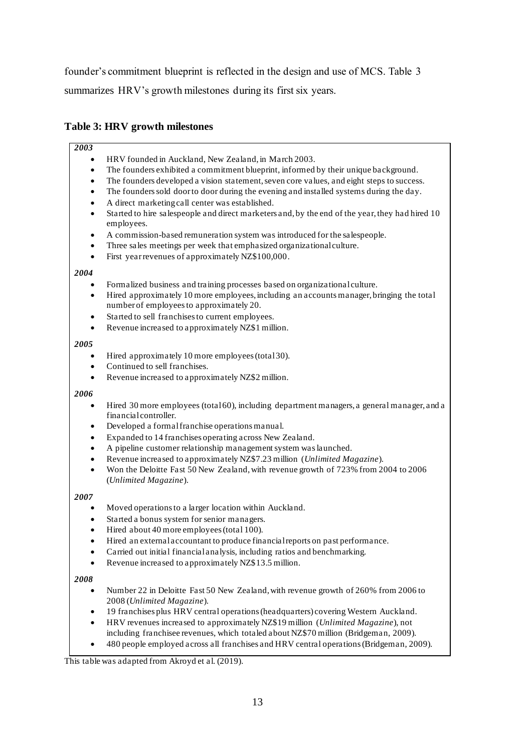founder's commitment blueprint is reflected in the design and use of MCS. Table 3 summarizes HRV's growth milestones during its first six years.

# **Table 3: HRV growth milestones**

#### *2003*

- HRV founded in Auckland, New Zealand, in March 2003.
- The founders exhibited a commitment blueprint, informed by their unique background.
- The founders developed a vision statement, seven core values, and eight steps to success.
- The founders sold door to door during the evening and installed systems during the day.
- A direct marketing call center was established.
- Started to hire salespeople and direct marketers and, by the end of the year, they had hired 10 employees.
- A commission-based remuneration system was introduced for the salespeople.
- Three sales meetings per week that emphasized organizational culture.
- First year revenues of approximately NZ\$100,000.

### *2004*

- Formalized business and training processes based on organizational culture.
- Hired approximately 10 more employees, including an accounts manager, bringing the total number of employees to approximately 20.
- Started to sell franchises to current employees.
- Revenue increased to approximately NZ\$1 million.

#### *2005*

- Hired approximately 10 more employees (total 30).
- Continued to sell franchises.
- Revenue increased to approximately NZ\$2 million.

#### *2006*

- Hired 30 more employees (total 60), including department managers, a general manager, and a financial controller.
- Developed a formal franchise operations manual.
- Expanded to 14 franchises operating across New Zealand.
- A pipeline customer relationship management system was launched.
- Revenue increased to approximately NZ\$7.23 million (*Unlimited Magazine*).
- Won the Deloitte Fast 50 New Zealand, with revenue growth of 723% from 2004 to 2006 (*Unlimited Magazine*).

### *2007*

- Moved operations to a larger location within Auckland.
- Started a bonus system for senior managers.
- Hired about 40 more employees (total 100).
- Hired an external accountant to produce financial reports on past performance.
- Carried out initial financial analysis, including ratios and benchmarking.
- Revenue increased to approximately NZ\$13.5 million.

*2008*

- Number 22 in Deloitte Fast 50 New Zealand, with revenue growth of 260% from 2006 to 2008 (*Unlimited Magazine*).
- 19 franchises plus HRV central operations (headquarters) covering Western Auckland.
- HRV revenues increased to approximately NZ\$19 million (*Unlimited Magazine*), not including franchisee revenues, which totaled about NZ\$70 million (Bridgeman, 2009).
- 480 people employed across all franchises and HRV central operations (Bridgeman, 2009).

This table was adapted from Akroyd et al. (2019).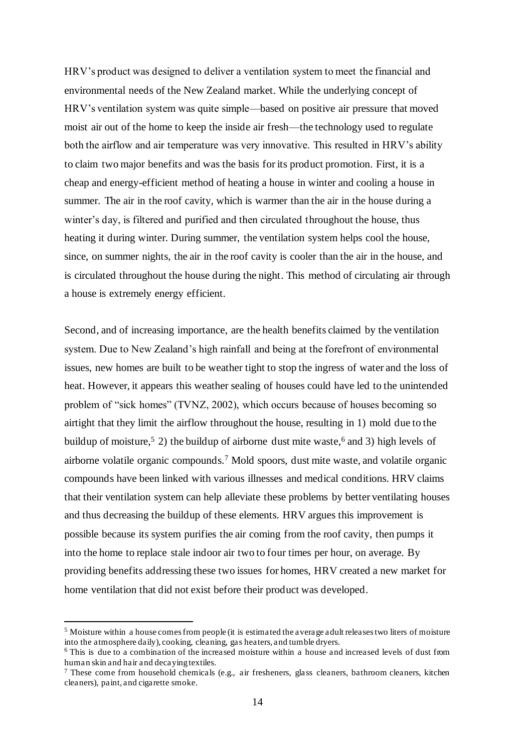HRV's product was designed to deliver a ventilation system to meet the financial and environmental needs of the New Zealand market. While the underlying concept of HRV's ventilation system was quite simple—based on positive air pressure that moved moist air out of the home to keep the inside air fresh—the technology used to regulate both the airflow and air temperature was very innovative. This resulted in HRV's ability to claim two major benefits and was the basis for its product promotion. First, it is a cheap and energy-efficient method of heating a house in winter and cooling a house in summer. The air in the roof cavity, which is warmer than the air in the house during a winter's day, is filtered and purified and then circulated throughout the house, thus heating it during winter. During summer, the ventilation system helps cool the house, since, on summer nights, the air in the roof cavity is cooler than the air in the house, and is circulated throughout the house during the night. This method of circulating air through a house is extremely energy efficient.

Second, and of increasing importance, are the health benefits claimed by the ventilation system. Due to New Zealand's high rainfall and being at the forefront of environmental issues, new homes are built to be weather tight to stop the ingress of water and the loss of heat. However, it appears this weather sealing of houses could have led to the unintended problem of "sick homes" (TVNZ, 2002), which occurs because of houses becoming so airtight that they limit the airflow throughout the house, resulting in 1) mold due to the buildup of moisture,<sup>5</sup> 2) the buildup of airborne dust mite waste,<sup>6</sup> and 3) high levels of airborne volatile organic compounds.<sup>7</sup> Mold spoors, dust mite waste, and volatile organic compounds have been linked with various illnesses and medical conditions. HRV claims that their ventilation system can help alleviate these problems by better ventilating houses and thus decreasing the buildup of these elements. HRV argues this improvement is possible because its system purifies the air coming from the roof cavity, then pumps it into the home to replace stale indoor air two to four times per hour, on average. By providing benefits addressing these two issues for homes, HRV created a new market for home ventilation that did not exist before their product was developed.

<sup>5</sup> Moisture within a house comes from people (it is estimated the average adult releases two liters of moisture into the atmosphere daily), cooking, cleaning, gas heaters, and tumble dryers.

<sup>6</sup> This is due to a combination of the increased moisture within a house and increased levels of dust from human skin and hair and decaying textiles.

<sup>7</sup> These come from household chemicals (e.g., air fresheners, glass cleaners, bathroom cleaners, kitchen cleaners), paint, and cigarette smoke.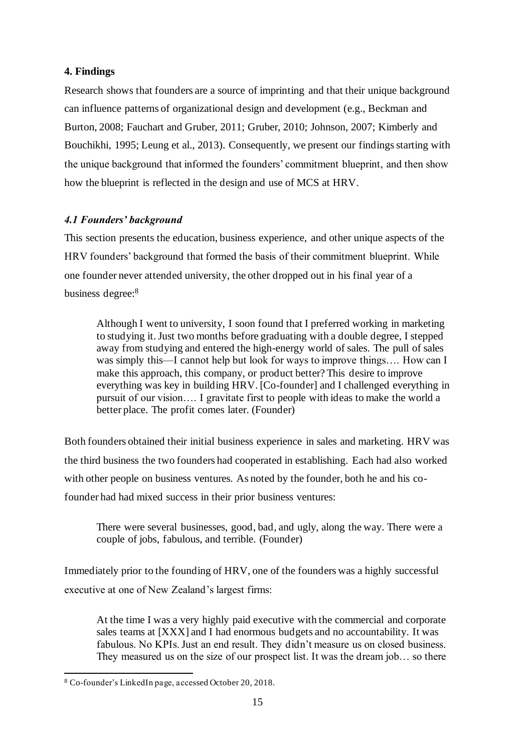# **4. Findings**

Research shows that founders are a source of imprinting and that their unique background can influence patterns of organizational design and development (e.g., Beckman and Burton, 2008; Fauchart and Gruber, 2011; Gruber, 2010; Johnson, 2007; Kimberly and Bouchikhi, 1995; Leung et al., 2013). Consequently, we present our findings starting with the unique background that informed the founders' commitment blueprint, and then show how the blueprint is reflected in the design and use of MCS at HRV.

# *4.1 Founders' background*

This section presents the education, business experience, and other unique aspects of the HRV founders' background that formed the basis of their commitment blueprint. While one founder never attended university, the other dropped out in his final year of a business degree:<sup>8</sup>

Although I went to university, I soon found that I preferred working in marketing to studying it. Just two months before graduating with a double degree, I stepped away from studying and entered the high-energy world of sales. The pull of sales was simply this—I cannot help but look for ways to improve things…. How can I make this approach, this company, or product better? This desire to improve everything was key in building HRV. [Co-founder] and I challenged everything in pursuit of our vision…. I gravitate first to people with ideas to make the world a better place. The profit comes later. (Founder)

Both founders obtained their initial business experience in sales and marketing. HRV was the third business the two founders had cooperated in establishing. Each had also worked with other people on business ventures. As noted by the founder, both he and his cofounder had had mixed success in their prior business ventures:

There were several businesses, good, bad, and ugly, along the way. There were a couple of jobs, fabulous, and terrible. (Founder)

Immediately prior to the founding of HRV, one of the founders was a highly successful executive at one of New Zealand's largest firms:

At the time I was a very highly paid executive with the commercial and corporate sales teams at [XXX] and I had enormous budgets and no accountability. It was fabulous. No KPIs. Just an end result. They didn't measure us on closed business. They measured us on the size of our prospect list. It was the dream job… so there

<sup>8</sup> Co-founder's LinkedIn page, accessed October 20, 2018.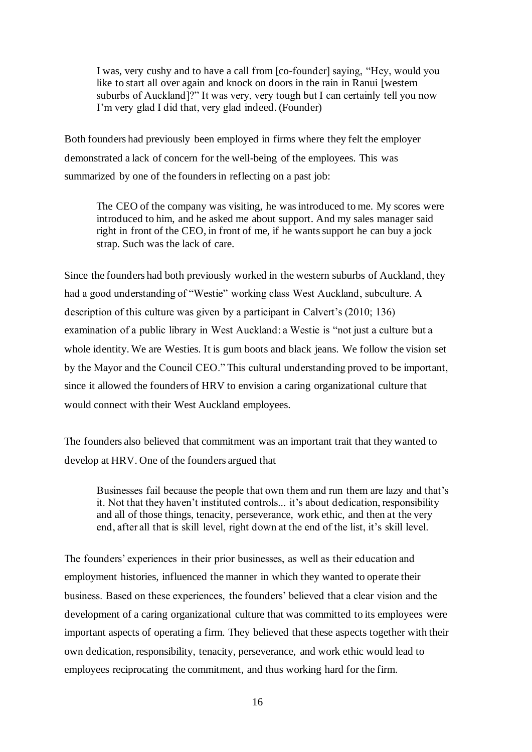I was, very cushy and to have a call from [co-founder] saying, "Hey, would you like to start all over again and knock on doors in the rain in Ranui [western suburbs of Auckland]?" It was very, very tough but I can certainly tell you now I'm very glad I did that, very glad indeed. (Founder)

Both founders had previously been employed in firms where they felt the employer demonstrated a lack of concern for the well-being of the employees. This was summarized by one of the founders in reflecting on a past job:

The CEO of the company was visiting, he was introduced to me. My scores were introduced to him, and he asked me about support. And my sales manager said right in front of the CEO, in front of me, if he wants support he can buy a jock strap. Such was the lack of care.

Since the founders had both previously worked in the western suburbs of Auckland, they had a good understanding of "Westie" working class West Auckland, subculture. A description of this culture was given by a participant in Calvert's (2010; 136) examination of a public library in West Auckland: a Westie is "not just a culture but a whole identity. We are Westies. It is gum boots and black jeans. We follow the vision set by the Mayor and the Council CEO." This cultural understanding proved to be important, since it allowed the founders of HRV to envision a caring organizational culture that would connect with their West Auckland employees.

The founders also believed that commitment was an important trait that they wanted to develop at HRV. One of the founders argued that

Businesses fail because the people that own them and run them are lazy and that's it. Not that they haven't instituted controls... it's about dedication, responsibility and all of those things, tenacity, perseverance, work ethic, and then at the very end, after all that is skill level, right down at the end of the list, it's skill level.

The founders' experiences in their prior businesses, as well as their education and employment histories, influenced the manner in which they wanted to operate their business. Based on these experiences, the founders' believed that a clear vision and the development of a caring organizational culture that was committed to its employees were important aspects of operating a firm. They believed that these aspects together with their own dedication, responsibility, tenacity, perseverance, and work ethic would lead to employees reciprocating the commitment, and thus working hard for the firm.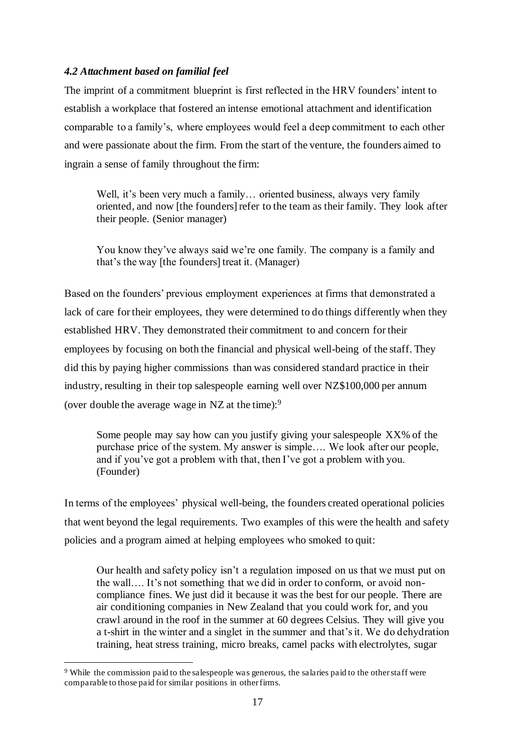# *4.2 Attachment based on familial feel*

The imprint of a commitment blueprint is first reflected in the HRV founders' intent to establish a workplace that fostered an intense emotional attachment and identification comparable to a family's, where employees would feel a deep commitment to each other and were passionate about the firm. From the start of the venture, the founders aimed to ingrain a sense of family throughout the firm:

Well, it's been very much a family... oriented business, always very family oriented, and now [the founders] refer to the team as their family. They look after their people. (Senior manager)

You know they've always said we're one family. The company is a family and that's the way [the founders] treat it. (Manager)

Based on the founders' previous employment experiences at firms that demonstrated a lack of care for their employees, they were determined to do things differently when they established HRV. They demonstrated their commitment to and concern for their employees by focusing on both the financial and physical well-being of the staff. They did this by paying higher commissions than was considered standard practice in their industry, resulting in their top salespeople earning well over NZ\$100,000 per annum (over double the average wage in NZ at the time):<sup>9</sup>

Some people may say how can you justify giving your salespeople XX% of the purchase price of the system. My answer is simple…. We look after our people, and if you've got a problem with that, then I've got a problem with you. (Founder)

In terms of the employees' physical well-being, the founders created operational policies that went beyond the legal requirements. Two examples of this were the health and safety policies and a program aimed at helping employees who smoked to quit:

Our health and safety policy isn't a regulation imposed on us that we must put on the wall…. It's not something that we did in order to conform, or avoid noncompliance fines. We just did it because it was the best for our people. There are air conditioning companies in New Zealand that you could work for, and you crawl around in the roof in the summer at 60 degrees Celsius. They will give you a t-shirt in the winter and a singlet in the summer and that's it. We do dehydration training, heat stress training, micro breaks, camel packs with electrolytes, sugar

<sup>9</sup> While the commission paid to the salespeople was generous, the salaries paid to the other staff were comparable to those paid for similar positions in other firms.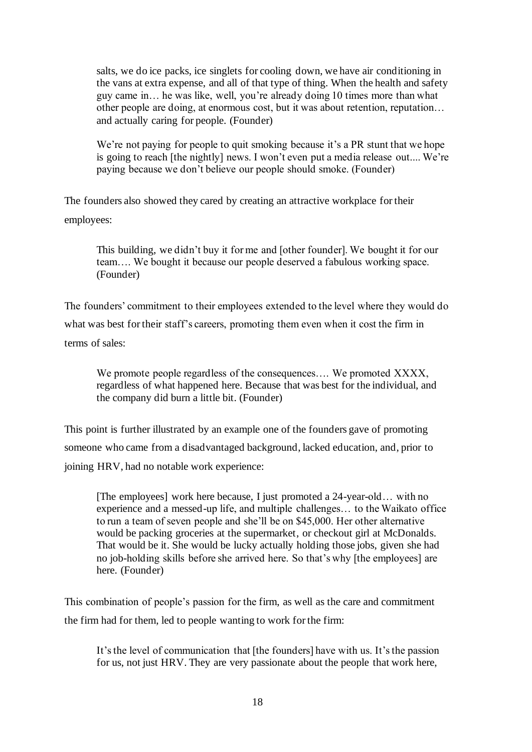salts, we do ice packs, ice singlets for cooling down, we have air conditioning in the vans at extra expense, and all of that type of thing. When the health and safety guy came in… he was like, well, you're already doing 10 times more than what other people are doing, at enormous cost, but it was about retention, reputation… and actually caring for people. (Founder)

We're not paying for people to quit smoking because it's a PR stunt that we hope is going to reach [the nightly] news. I won't even put a media release out.... We're paying because we don't believe our people should smoke. (Founder)

The founders also showed they cared by creating an attractive workplace for their employees:

This building, we didn't buy it for me and [other founder]. We bought it for our team…. We bought it because our people deserved a fabulous working space. (Founder)

The founders' commitment to their employees extended to the level where they would do what was best for their staff's careers, promoting them even when it cost the firm in terms of sales:

We promote people regardless of the consequences.... We promoted XXXX, regardless of what happened here. Because that was best for the individual, and the company did burn a little bit. (Founder)

This point is further illustrated by an example one of the founders gave of promoting someone who came from a disadvantaged background, lacked education, and, prior to joining HRV, had no notable work experience:

[The employees] work here because, I just promoted a 24-year-old... with no experience and a messed-up life, and multiple challenges… to the Waikato office to run a team of seven people and she'll be on \$45,000. Her other alternative would be packing groceries at the supermarket, or checkout girl at McDonalds. That would be it. She would be lucky actually holding those jobs, given she had no job-holding skills before she arrived here. So that's why [the employees] are here. (Founder)

This combination of people's passion for the firm, as well as the care and commitment the firm had for them, led to people wanting to work for the firm:

It's the level of communication that [the founders] have with us. It's the passion for us, not just HRV. They are very passionate about the people that work here,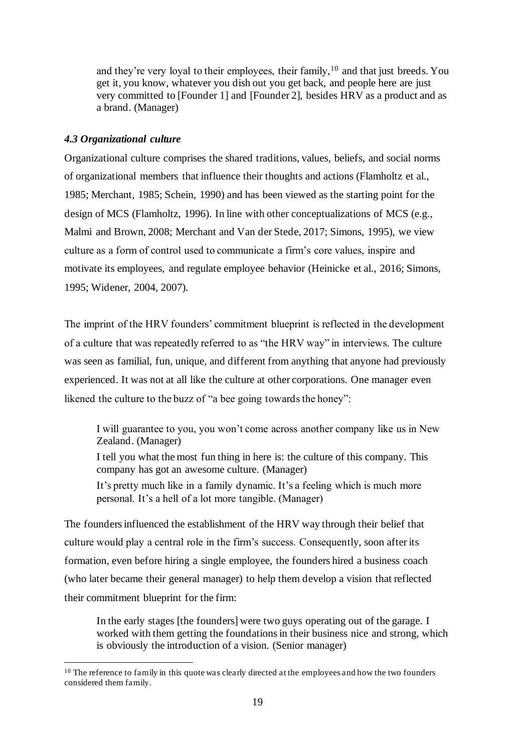and they're very loyal to their employees, their family,<sup>10</sup> and that just breeds. You get it, you know, whatever you dish out you get back, and people here are just very committed to [Founder 1] and [Founder 2], besides HRV as a product and as a brand. (Manager)

# *4.3 Organizational culture*

Organizational culture comprises the shared traditions, values, beliefs, and social norms of organizational members that influence their thoughts and actions (Flamholtz et al., 1985; Merchant, 1985; Schein, 1990) and has been viewed as the starting point for the design of MCS (Flamholtz, 1996). In line with other conceptualizations of MCS (e.g., Malmi and Brown, 2008; Merchant and Van der Stede, 2017; Simons, 1995), we view culture as a form of control used to communicate a firm's core values, inspire and motivate its employees, and regulate employee behavior (Heinicke et al., 2016; Simons, 1995; Widener, 2004, 2007).

The imprint of the HRV founders' commitment blueprint is reflected in the development of a culture that was repeatedly referred to as "the HRV way" in interviews. The culture was seen as familial, fun, unique, and different from anything that anyone had previously experienced. It was not at all like the culture at other corporations. One manager even likened the culture to the buzz of "a bee going towards the honey":

I will guarantee to you, you won't come across another company like us in New Zealand. (Manager)

I tell you what the most fun thing in here is: the culture of this company. This company has got an awesome culture. (Manager)

It's pretty much like in a family dynamic. It's a feeling which is much more personal. It's a hell of a lot more tangible. (Manager)

The founders influenced the establishment of the HRV way through their belief that culture would play a central role in the firm's success. Consequently, soon after its formation, even before hiring a single employee, the founders hired a business coach (who later became their general manager) to help them develop a vision that reflected their commitment blueprint for the firm:

In the early stages [the founders] were two guys operating out of the garage. I worked with them getting the foundations in their business nice and strong, which is obviously the introduction of a vision. (Senior manager)

<sup>&</sup>lt;sup>10</sup> The reference to family in this quote was clearly directed at the employees and how the two founders considered them family.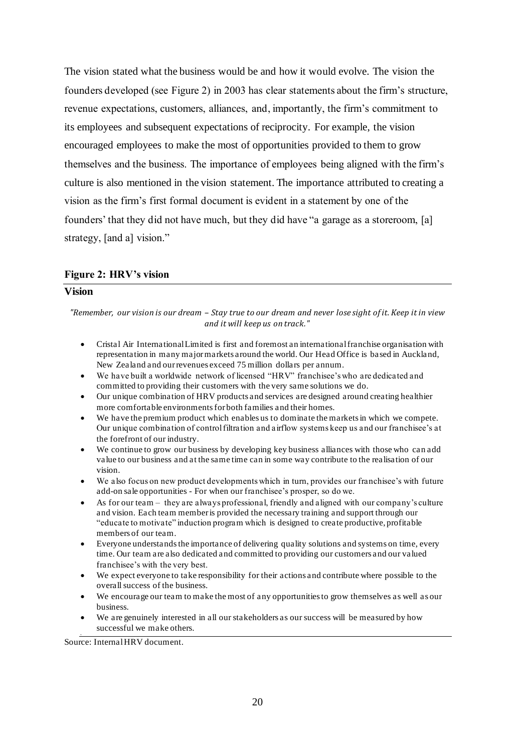The vision stated what the business would be and how it would evolve. The vision the founders developed (see Figure 2) in 2003 has clear statements about the firm's structure, revenue expectations, customers, alliances, and, importantly, the firm's commitment to its employees and subsequent expectations of reciprocity. For example, the vision encouraged employees to make the most of opportunities provided to them to grow themselves and the business. The importance of employees being aligned with the firm's culture is also mentioned in the vision statement. The importance attributed to creating a vision as the firm's first formal document is evident in a statement by one of the founders' that they did not have much, but they did have "a garage as a storeroom, [a] strategy, [and a] vision."

# **Figure 2: HRV's vision**

### **Vision**

*"Remember, our vision is our dream – Stay true to our dream and never lose sight of it. Keep it in view and it will keep us on track."*

- Cristal Air International Limited is first and foremost an international franchise organisation with representation in many major markets around the world. Our Head Office is based in Auckland, New Zealand and our revenues exceed 75 million dollars per annum.
- We have built a worldwide network of licensed "HRV" franchisee's who are dedicated and committed to providing their customers with the very same solutions we do.
- Our unique combination of HRV products and services are designed around creating healthier more comfortable environments for both families and their homes.
- We have the premium product which enables us to dominate the markets in which we compete. Our unique combination of control filtration and airflow systems keep us and our franchisee's at the forefront of our industry.
- We continue to grow our business by developing key business alliances with those who can add value to our business and at the same time can in some way contribute to the realisation of our vision.
- We also focus on new product developments which in turn, provides our franchisee's with future add-on sale opportunities - For when our franchisee's prosper, so do we.
- As for our team they are always professional, friendly and aligned with our company's culture and vision. Each team member is provided the necessary training and support through our "educate to motivate" induction program which is designed to create productive, profitable members of our team.
- Everyone understands the importance of delivering quality solutions and systems on time, every time. Our team are also dedicated and committed to providing our customers and our valued franchisee's with the very best.
- We expect everyone to take responsibility for their actions and contribute where possible to the overall success of the business.
- We encourage our team to make the most of any opportunities to grow themselves as well as our business.
- We are genuinely interested in all our stakeholders as our success will be measured by how successful we make others.

Source: Internal HRV document.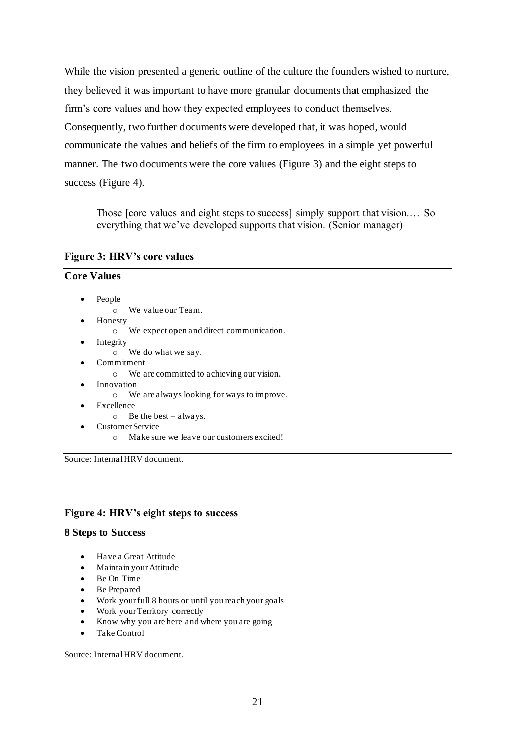While the vision presented a generic outline of the culture the founders wished to nurture, they believed it was important to have more granular documents that emphasized the firm's core values and how they expected employees to conduct themselves. Consequently, two further documents were developed that, it was hoped, would communicate the values and beliefs of the firm to employees in a simple yet powerful manner. The two documents were the core values (Figure 3) and the eight steps to success (Figure 4).

Those [core values and eight steps to success] simply support that vision.… So everything that we've developed supports that vision. (Senior manager)

#### **Figure 3: HRV's core values**

#### **Core Values**

- People
	- o We value our Team.
- Honesty
	- o We expect open and direct communication.
- Integrity
	- o We do what we say.
- Commitment
	- o We are committed to achieving our vision.
- **Innovation** 
	- o We are always looking for ways to improve.
- **Excellence** 
	- $\circ$  Be the best always.
- Customer Service
	- o Make sure we leave our customers excited!

Source: Internal HRV document.

### **Figure 4: HRV's eight steps to success**

#### **8 Steps to Success**

- Have a Great Attitude
- Maintain your Attitude
- Be On Time
- Be Prepared
- Work your full 8 hours or until you reach your goals
- Work your Territory correctly
- Know why you are here and where you are going
- Take Control

Source: Internal HRV document.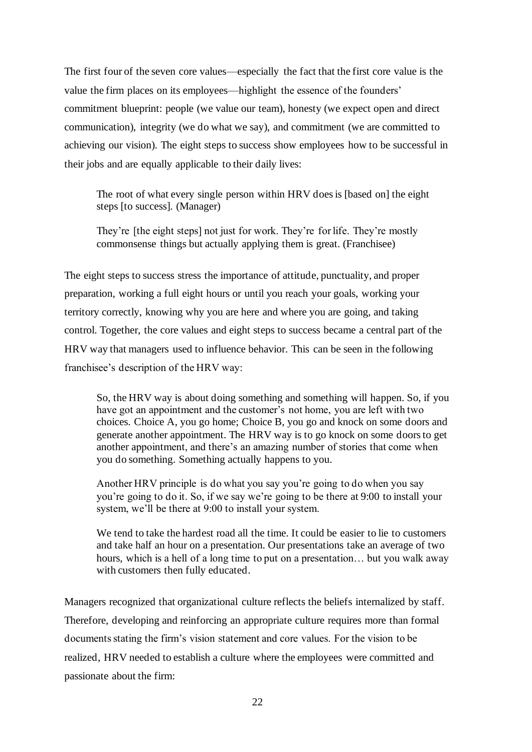The first four of the seven core values—especially the fact that the first core value is the value the firm places on its employees—highlight the essence of the founders' commitment blueprint: people (we value our team), honesty (we expect open and direct communication), integrity (we do what we say), and commitment (we are committed to achieving our vision). The eight steps to success show employees how to be successful in their jobs and are equally applicable to their daily lives:

The root of what every single person within HRV does is [based on] the eight steps [to success]. (Manager)

They're [the eight steps] not just for work. They're for life. They're mostly commonsense things but actually applying them is great. (Franchisee)

The eight steps to success stress the importance of attitude, punctuality, and proper preparation, working a full eight hours or until you reach your goals, working your territory correctly, knowing why you are here and where you are going, and taking control. Together, the core values and eight steps to success became a central part of the HRV way that managers used to influence behavior. This can be seen in the following franchisee's description of the HRV way:

So, the HRV way is about doing something and something will happen. So, if you have got an appointment and the customer's not home, you are left with two choices. Choice A, you go home; Choice B, you go and knock on some doors and generate another appointment. The HRV way is to go knock on some doors to get another appointment, and there's an amazing number of stories that come when you do something. Something actually happens to you.

Another HRV principle is do what you say you're going to do when you say you're going to do it. So, if we say we're going to be there at 9:00 to install your system, we'll be there at 9:00 to install your system.

We tend to take the hardest road all the time. It could be easier to lie to customers and take half an hour on a presentation. Our presentations take an average of two hours, which is a hell of a long time to put on a presentation… but you walk away with customers then fully educated.

Managers recognized that organizational culture reflects the beliefs internalized by staff. Therefore, developing and reinforcing an appropriate culture requires more than formal documents stating the firm's vision statement and core values. For the vision to be realized, HRV needed to establish a culture where the employees were committed and passionate about the firm: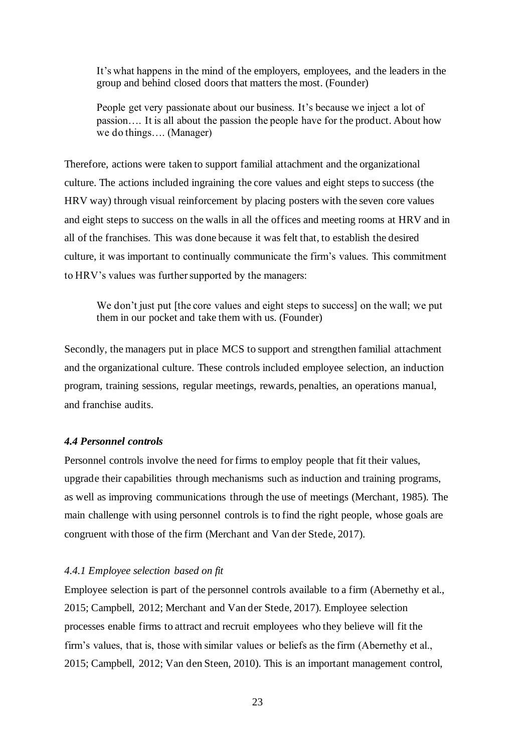It's what happens in the mind of the employers, employees, and the leaders in the group and behind closed doors that matters the most. (Founder)

People get very passionate about our business. It's because we inject a lot of passion…. It is all about the passion the people have for the product. About how we do things…. (Manager)

Therefore, actions were taken to support familial attachment and the organizational culture. The actions included ingraining the core values and eight steps to success (the HRV way) through visual reinforcement by placing posters with the seven core values and eight steps to success on the walls in all the offices and meeting rooms at HRV and in all of the franchises. This was done because it was felt that, to establish the desired culture, it was important to continually communicate the firm's values. This commitment to HRV's values was further supported by the managers:

We don't just put [the core values and eight steps to success] on the wall; we put them in our pocket and take them with us. (Founder)

Secondly, the managers put in place MCS to support and strengthen familial attachment and the organizational culture. These controls included employee selection, an induction program, training sessions, regular meetings, rewards, penalties, an operations manual, and franchise audits.

# *4.4 Personnel controls*

Personnel controls involve the need for firms to employ people that fit their values, upgrade their capabilities through mechanisms such as induction and training programs, as well as improving communications through the use of meetings (Merchant, 1985). The main challenge with using personnel controls is to find the right people, whose goals are congruent with those of the firm (Merchant and Van der Stede, 2017).

# *4.4.1 Employee selection based on fit*

Employee selection is part of the personnel controls available to a firm (Abernethy et al., 2015; Campbell, 2012; Merchant and Van der Stede, 2017). Employee selection processes enable firms to attract and recruit employees who they believe will fit the firm's values, that is, those with similar values or beliefs as the firm (Abernethy et al., 2015; Campbell, 2012; Van den Steen, 2010). This is an important management control,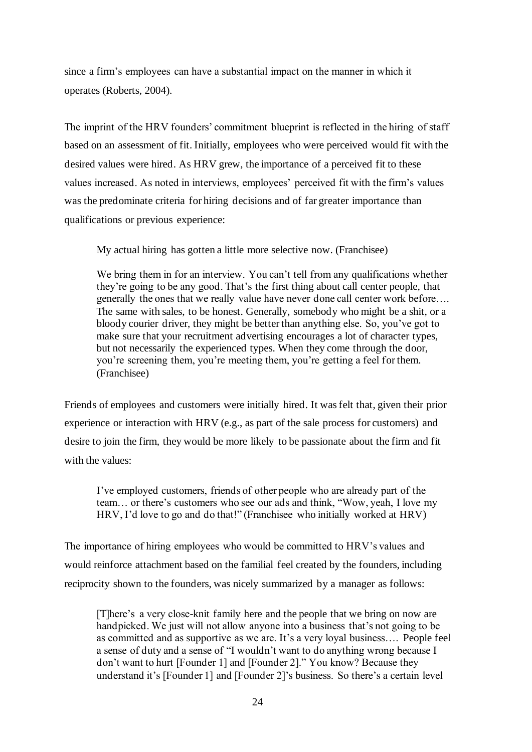since a firm's employees can have a substantial impact on the manner in which it operates (Roberts, 2004).

The imprint of the HRV founders' commitment blueprint is reflected in the hiring of staff based on an assessment of fit. Initially, employees who were perceived would fit with the desired values were hired. As HRV grew, the importance of a perceived fit to these values increased. As noted in interviews, employees' perceived fit with the firm's values was the predominate criteria for hiring decisions and of far greater importance than qualifications or previous experience:

My actual hiring has gotten a little more selective now. (Franchisee)

We bring them in for an interview. You can't tell from any qualifications whether they're going to be any good. That's the first thing about call center people, that generally the ones that we really value have never done call center work before…. The same with sales, to be honest. Generally, somebody who might be a shit, or a bloody courier driver, they might be better than anything else. So, you've got to make sure that your recruitment advertising encourages a lot of character types, but not necessarily the experienced types. When they come through the door, you're screening them, you're meeting them, you're getting a feel for them. (Franchisee)

Friends of employees and customers were initially hired. It was felt that, given their prior experience or interaction with HRV (e.g., as part of the sale process for customers) and desire to join the firm, they would be more likely to be passionate about the firm and fit with the values:

I've employed customers, friends of other people who are already part of the team… or there's customers who see our ads and think, "Wow, yeah, I love my HRV, I'd love to go and do that!" (Franchisee who initially worked at HRV)

The importance of hiring employees who would be committed to HRV's values and would reinforce attachment based on the familial feel created by the founders, including reciprocity shown to the founders, was nicely summarized by a manager as follows:

[T]here's a very close-knit family here and the people that we bring on now are handpicked. We just will not allow anyone into a business that's not going to be as committed and as supportive as we are. It's a very loyal business…. People feel a sense of duty and a sense of "I wouldn't want to do anything wrong because I don't want to hurt [Founder 1] and [Founder 2]." You know? Because they understand it's [Founder 1] and [Founder 2]'s business. So there's a certain level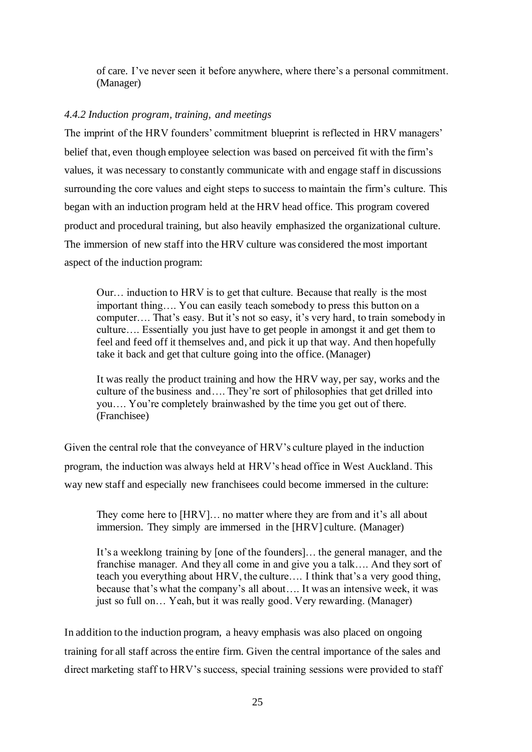of care. I've never seen it before anywhere, where there's a personal commitment. (Manager)

# *4.4.2 Induction program, training, and meetings*

The imprint of the HRV founders' commitment blueprint is reflected in HRV managers' belief that, even though employee selection was based on perceived fit with the firm's values, it was necessary to constantly communicate with and engage staff in discussions surrounding the core values and eight steps to success to maintain the firm's culture. This began with an induction program held at the HRV head office. This program covered product and procedural training, but also heavily emphasized the organizational culture. The immersion of new staff into the HRV culture was considered the most important aspect of the induction program:

Our… induction to HRV is to get that culture. Because that really is the most important thing…. You can easily teach somebody to press this button on a computer…. That's easy. But it's not so easy, it's very hard, to train somebody in culture…. Essentially you just have to get people in amongst it and get them to feel and feed off it themselves and, and pick it up that way. And then hopefully take it back and get that culture going into the office. (Manager)

It was really the product training and how the HRV way, per say, works and the culture of the business and…. They're sort of philosophies that get drilled into you…. You're completely brainwashed by the time you get out of there. (Franchisee)

Given the central role that the conveyance of HRV's culture played in the induction program, the induction was always held at HRV's head office in West Auckland. This way new staff and especially new franchisees could become immersed in the culture:

They come here to [HRV]… no matter where they are from and it's all about immersion. They simply are immersed in the [HRV] culture. (Manager)

It's a weeklong training by [one of the founders]… the general manager, and the franchise manager. And they all come in and give you a talk…. And they sort of teach you everything about HRV, the culture…. I think that's a very good thing, because that's what the company's all about…. It was an intensive week, it was just so full on… Yeah, but it was really good. Very rewarding. (Manager)

In addition to the induction program, a heavy emphasis was also placed on ongoing training for all staff across the entire firm. Given the central importance of the sales and direct marketing staff to HRV's success, special training sessions were provided to staff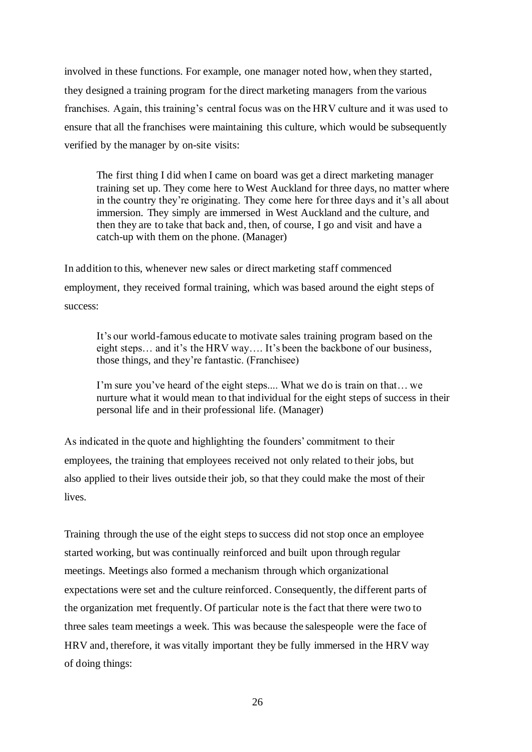involved in these functions. For example, one manager noted how, when they started, they designed a training program for the direct marketing managers from the various franchises. Again, this training's central focus was on the HRV culture and it was used to ensure that all the franchises were maintaining this culture, which would be subsequently verified by the manager by on-site visits:

The first thing I did when I came on board was get a direct marketing manager training set up. They come here to West Auckland for three days, no matter where in the country they're originating. They come here for three days and it's all about immersion. They simply are immersed in West Auckland and the culture, and then they are to take that back and, then, of course, I go and visit and have a catch-up with them on the phone. (Manager)

In addition to this, whenever new sales or direct marketing staff commenced employment, they received formal training, which was based around the eight steps of success:

It's our world-famous educate to motivate sales training program based on the eight steps… and it's the HRV way…. It's been the backbone of our business, those things, and they're fantastic. (Franchisee)

I'm sure you've heard of the eight steps.... What we do is train on that… we nurture what it would mean to that individual for the eight steps of success in their personal life and in their professional life. (Manager)

As indicated in the quote and highlighting the founders' commitment to their employees, the training that employees received not only related to their jobs, but also applied to their lives outside their job, so that they could make the most of their lives.

Training through the use of the eight steps to success did not stop once an employee started working, but was continually reinforced and built upon through regular meetings. Meetings also formed a mechanism through which organizational expectations were set and the culture reinforced. Consequently, the different parts of the organization met frequently. Of particular note is the fact that there were two to three sales team meetings a week. This was because the salespeople were the face of HRV and, therefore, it was vitally important they be fully immersed in the HRV way of doing things: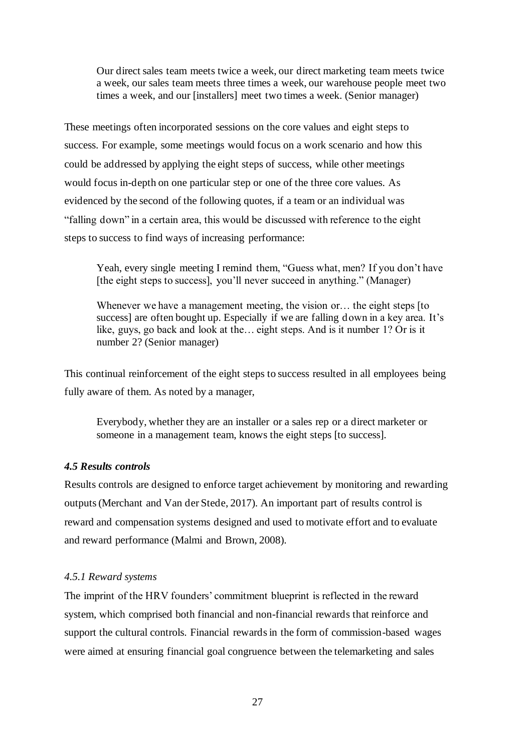Our direct sales team meets twice a week, our direct marketing team meets twice a week, our sales team meets three times a week, our warehouse people meet two times a week, and our [installers] meet two times a week. (Senior manager)

These meetings often incorporated sessions on the core values and eight steps to success. For example, some meetings would focus on a work scenario and how this could be addressed by applying the eight steps of success, while other meetings would focus in-depth on one particular step or one of the three core values. As evidenced by the second of the following quotes, if a team or an individual was "falling down" in a certain area, this would be discussed with reference to the eight steps to success to find ways of increasing performance:

Yeah, every single meeting I remind them, "Guess what, men? If you don't have [the eight steps to success], you'll never succeed in anything." (Manager)

Whenever we have a management meeting, the vision or... the eight steps [to] success] are often bought up. Especially if we are falling down in a key area. It's like, guys, go back and look at the… eight steps. And is it number 1? Or is it number 2? (Senior manager)

This continual reinforcement of the eight steps to success resulted in all employees being fully aware of them. As noted by a manager,

Everybody, whether they are an installer or a sales rep or a direct marketer or someone in a management team, knows the eight steps [to success].

# *4.5 Results controls*

Results controls are designed to enforce target achievement by monitoring and rewarding outputs (Merchant and Van der Stede, 2017). An important part of results control is reward and compensation systems designed and used to motivate effort and to evaluate and reward performance (Malmi and Brown, 2008).

# *4.5.1 Reward systems*

The imprint of the HRV founders' commitment blueprint is reflected in the reward system, which comprised both financial and non-financial rewards that reinforce and support the cultural controls. Financial rewards in the form of commission-based wages were aimed at ensuring financial goal congruence between the telemarketing and sales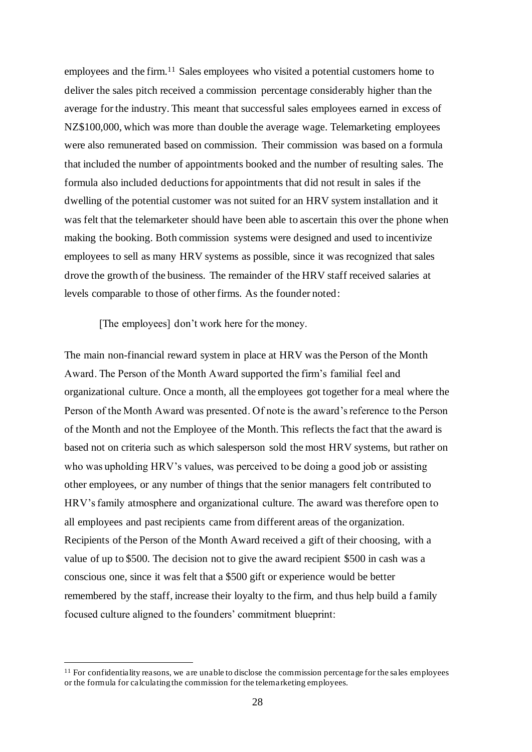employees and the firm.<sup>11</sup> Sales employees who visited a potential customers home to deliver the sales pitch received a commission percentage considerably higher than the average for the industry. This meant that successful sales employees earned in excess of NZ\$100,000, which was more than double the average wage. Telemarketing employees were also remunerated based on commission. Their commission was based on a formula that included the number of appointments booked and the number of resulting sales. The formula also included deductions for appointments that did not result in sales if the dwelling of the potential customer was not suited for an HRV system installation and it was felt that the telemarketer should have been able to ascertain this over the phone when making the booking. Both commission systems were designed and used to incentivize employees to sell as many HRV systems as possible, since it was recognized that sales drove the growth of the business. The remainder of the HRV staff received salaries at levels comparable to those of other firms. As the founder noted:

[The employees] don't work here for the money.

The main non-financial reward system in place at HRV was the Person of the Month Award. The Person of the Month Award supported the firm's familial feel and organizational culture. Once a month, all the employees got together for a meal where the Person of the Month Award was presented. Of note is the award's reference to the Person of the Month and not the Employee of the Month. This reflects the fact that the award is based not on criteria such as which salesperson sold the most HRV systems, but rather on who was upholding HRV's values, was perceived to be doing a good job or assisting other employees, or any number of things that the senior managers felt contributed to HRV's family atmosphere and organizational culture. The award was therefore open to all employees and past recipients came from different areas of the organization. Recipients of the Person of the Month Award received a gift of their choosing, with a value of up to \$500. The decision not to give the award recipient \$500 in cash was a conscious one, since it was felt that a \$500 gift or experience would be better remembered by the staff, increase their loyalty to the firm, and thus help build a family focused culture aligned to the founders' commitment blueprint:

 $11$  For confidentiality reasons, we are unable to disclose the commission percentage for the sales employees or the formula for calculating the commission for the telemarketing employees.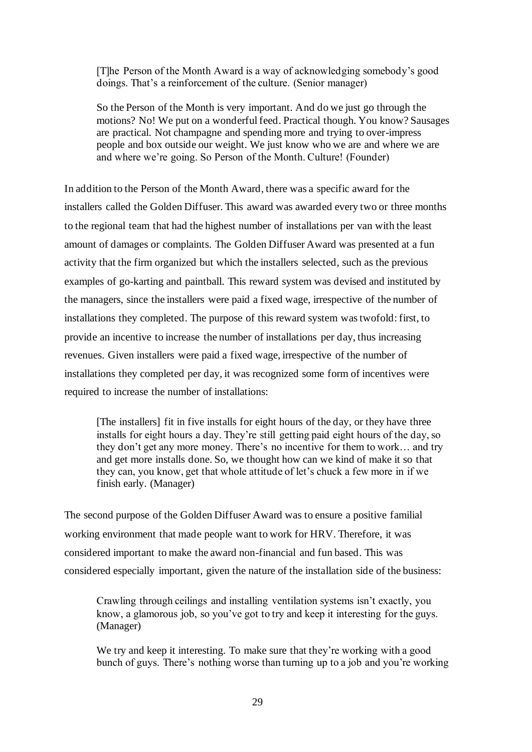[T]he Person of the Month Award is a way of acknowledging somebody's good doings. That's a reinforcement of the culture. (Senior manager)

So the Person of the Month is very important. And do we just go through the motions? No! We put on a wonderful feed. Practical though. You know? Sausages are practical. Not champagne and spending more and trying to over-impress people and box outside our weight. We just know who we are and where we are and where we're going. So Person of the Month. Culture! (Founder)

In addition to the Person of the Month Award, there was a specific award for the installers called the Golden Diffuser. This award was awarded every two or three months to the regional team that had the highest number of installations per van with the least amount of damages or complaints. The Golden Diffuser Award was presented at a fun activity that the firm organized but which the installers selected, such as the previous examples of go-karting and paintball. This reward system was devised and instituted by the managers, since the installers were paid a fixed wage, irrespective of the number of installations they completed. The purpose of this reward system was twofold: first, to provide an incentive to increase the number of installations per day, thus increasing revenues. Given installers were paid a fixed wage, irrespective of the number of installations they completed per day, it was recognized some form of incentives were required to increase the number of installations:

[The installers] fit in five installs for eight hours of the day, or they have three installs for eight hours a day. They're still getting paid eight hours of the day, so they don't get any more money. There's no incentive for them to work… and try and get more installs done. So, we thought how can we kind of make it so that they can, you know, get that whole attitude of let's chuck a few more in if we finish early. (Manager)

The second purpose of the Golden Diffuser Award was to ensure a positive familial working environment that made people want to work for HRV. Therefore, it was considered important to make the award non-financial and fun based. This was considered especially important, given the nature of the installation side of the business:

Crawling through ceilings and installing ventilation systems isn't exactly, you know, a glamorous job, so you've got to try and keep it interesting for the guys. (Manager)

We try and keep it interesting. To make sure that they're working with a good bunch of guys. There's nothing worse than turning up to a job and you're working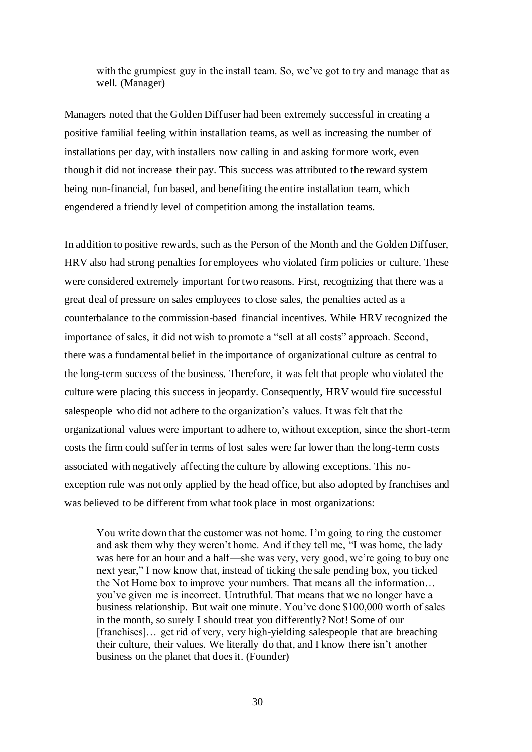with the grumpiest guy in the install team. So, we've got to try and manage that as well. (Manager)

Managers noted that the Golden Diffuser had been extremely successful in creating a positive familial feeling within installation teams, as well as increasing the number of installations per day, with installers now calling in and asking for more work, even though it did not increase their pay. This success was attributed to the reward system being non-financial, fun based, and benefiting the entire installation team, which engendered a friendly level of competition among the installation teams.

In addition to positive rewards, such as the Person of the Month and the Golden Diffuser, HRV also had strong penalties for employees who violated firm policies or culture. These were considered extremely important for two reasons. First, recognizing that there was a great deal of pressure on sales employees to close sales, the penalties acted as a counterbalance to the commission-based financial incentives. While HRV recognized the importance of sales, it did not wish to promote a "sell at all costs" approach. Second, there was a fundamental belief in the importance of organizational culture as central to the long-term success of the business. Therefore, it was felt that people who violated the culture were placing this success in jeopardy. Consequently, HRV would fire successful salespeople who did not adhere to the organization's values. It was felt that the organizational values were important to adhere to, without exception, since the short-term costs the firm could suffer in terms of lost sales were far lower than the long-term costs associated with negatively affecting the culture by allowing exceptions. This noexception rule was not only applied by the head office, but also adopted by franchises and was believed to be different from what took place in most organizations:

You write down that the customer was not home. I'm going to ring the customer and ask them why they weren't home. And if they tell me, "I was home, the lady was here for an hour and a half—she was very, very good, we're going to buy one next year," I now know that, instead of ticking the sale pending box, you ticked the Not Home box to improve your numbers. That means all the information… you've given me is incorrect. Untruthful. That means that we no longer have a business relationship. But wait one minute. You've done \$100,000 worth of sales in the month, so surely I should treat you differently? Not! Some of our [franchises]… get rid of very, very high-yielding salespeople that are breaching their culture, their values. We literally do that, and I know there isn't another business on the planet that does it. (Founder)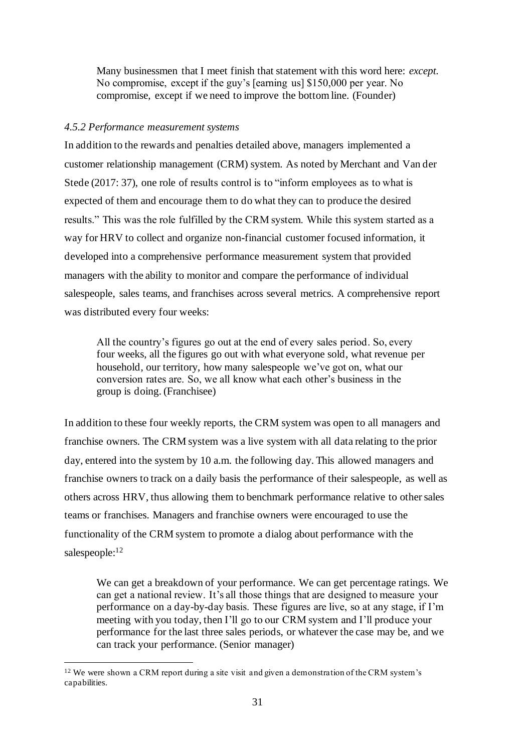Many businessmen that I meet finish that statement with this word here: *except*. No compromise, except if the guy's [earning us] \$150,000 per year. No compromise, except if we need to improve the bottom line. (Founder)

# *4.5.2 Performance measurement systems*

In addition to the rewards and penalties detailed above, managers implemented a customer relationship management (CRM) system. As noted by Merchant and Van der Stede (2017: 37), one role of results control is to "inform employees as to what is expected of them and encourage them to do what they can to produce the desired results." This was the role fulfilled by the CRM system. While this system started as a way for HRV to collect and organize non-financial customer focused information, it developed into a comprehensive performance measurement system that provided managers with the ability to monitor and compare the performance of individual salespeople, sales teams, and franchises across several metrics. A comprehensive report was distributed every four weeks:

All the country's figures go out at the end of every sales period. So, every four weeks, all the figures go out with what everyone sold, what revenue per household, our territory, how many salespeople we've got on, what our conversion rates are. So, we all know what each other's business in the group is doing. (Franchisee)

In addition to these four weekly reports, the CRM system was open to all managers and franchise owners. The CRM system was a live system with all data relating to the prior day, entered into the system by 10 a.m. the following day. This allowed managers and franchise owners to track on a daily basis the performance of their salespeople, as well as others across HRV, thus allowing them to benchmark performance relative to other sales teams or franchises. Managers and franchise owners were encouraged to use the functionality of the CRM system to promote a dialog about performance with the salespeople:<sup>12</sup>

We can get a breakdown of your performance. We can get percentage ratings. We can get a national review. It's all those things that are designed to measure your performance on a day-by-day basis. These figures are live, so at any stage, if I'm meeting with you today, then I'll go to our CRM system and I'll produce your performance for the last three sales periods, or whatever the case may be, and we can track your performance. (Senior manager)

<sup>&</sup>lt;sup>12</sup> We were shown a CRM report during a site visit and given a demonstration of the CRM system's capabilities.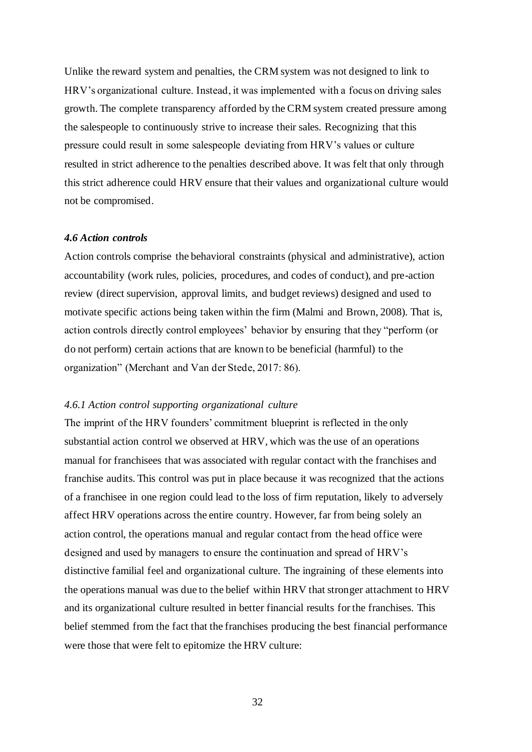Unlike the reward system and penalties, the CRM system was not designed to link to HRV's organizational culture. Instead, it was implemented with a focus on driving sales growth. The complete transparency afforded by the CRM system created pressure among the salespeople to continuously strive to increase their sales. Recognizing that this pressure could result in some salespeople deviating from HRV's values or culture resulted in strict adherence to the penalties described above. It was felt that only through this strict adherence could HRV ensure that their values and organizational culture would not be compromised.

#### *4.6 Action controls*

Action controls comprise the behavioral constraints (physical and administrative), action accountability (work rules, policies, procedures, and codes of conduct), and pre-action review (direct supervision, approval limits, and budget reviews) designed and used to motivate specific actions being taken within the firm (Malmi and Brown, 2008). That is, action controls directly control employees' behavior by ensuring that they "perform (or do not perform) certain actions that are known to be beneficial (harmful) to the organization" (Merchant and Van der Stede, 2017: 86).

# *4.6.1 Action control supporting organizational culture*

The imprint of the HRV founders' commitment blueprint is reflected in the only substantial action control we observed at HRV, which was the use of an operations manual for franchisees that was associated with regular contact with the franchises and franchise audits. This control was put in place because it was recognized that the actions of a franchisee in one region could lead to the loss of firm reputation, likely to adversely affect HRV operations across the entire country. However, far from being solely an action control, the operations manual and regular contact from the head office were designed and used by managers to ensure the continuation and spread of HRV's distinctive familial feel and organizational culture. The ingraining of these elements into the operations manual was due to the belief within HRV that stronger attachment to HRV and its organizational culture resulted in better financial results for the franchises. This belief stemmed from the fact that the franchises producing the best financial performance were those that were felt to epitomize the HRV culture: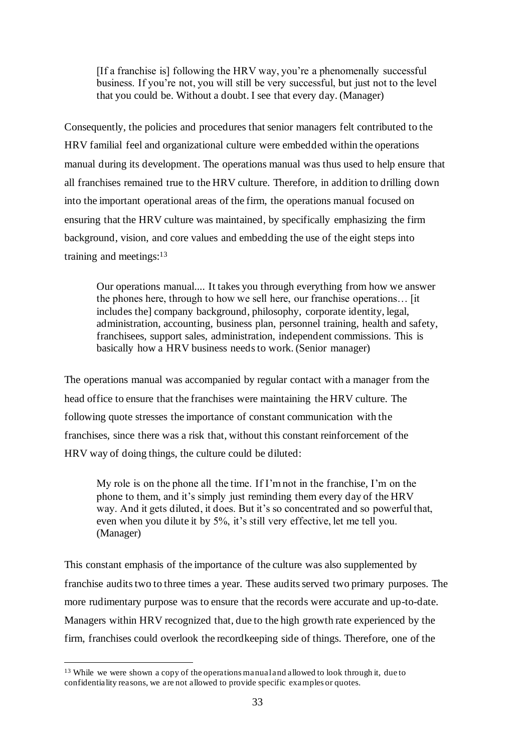[If a franchise is] following the HRV way, you're a phenomenally successful business. If you're not, you will still be very successful, but just not to the level that you could be. Without a doubt. I see that every day. (Manager)

Consequently, the policies and procedures that senior managers felt contributed to the HRV familial feel and organizational culture were embedded within the operations manual during its development. The operations manual was thus used to help ensure that all franchises remained true to the HRV culture. Therefore, in addition to drilling down into the important operational areas of the firm, the operations manual focused on ensuring that the HRV culture was maintained, by specifically emphasizing the firm background, vision, and core values and embedding the use of the eight steps into training and meetings: $13$ 

Our operations manual.... It takes you through everything from how we answer the phones here, through to how we sell here, our franchise operations… [it includes the] company background, philosophy, corporate identity, legal, administration, accounting, business plan, personnel training, health and safety, franchisees, support sales, administration, independent commissions. This is basically how a HRV business needs to work. (Senior manager)

The operations manual was accompanied by regular contact with a manager from the head office to ensure that the franchises were maintaining the HRV culture. The following quote stresses the importance of constant communication with the franchises, since there was a risk that, without this constant reinforcement of the HRV way of doing things, the culture could be diluted:

My role is on the phone all the time. If I'm not in the franchise, I'm on the phone to them, and it's simply just reminding them every day of the HRV way. And it gets diluted, it does. But it's so concentrated and so powerful that, even when you dilute it by 5%, it's still very effective, let me tell you. (Manager)

This constant emphasis of the importance of the culture was also supplemented by franchise audits two to three times a year. These audits served two primary purposes. The more rudimentary purpose was to ensure that the records were accurate and up-to-date. Managers within HRV recognized that, due to the high growth rate experienced by the firm, franchises could overlook the recordkeeping side of things. Therefore, one of the

 $13$  While we were shown a copy of the operations manual and allowed to look through it, due to confidentiality reasons, we are not allowed to provide specific examples or quotes.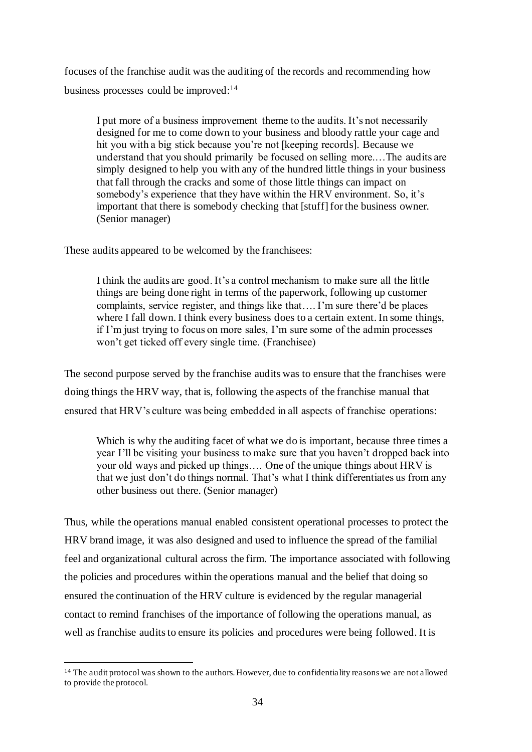focuses of the franchise audit was the auditing of the records and recommending how business processes could be improved:<sup>14</sup>

I put more of a business improvement theme to the audits. It's not necessarily designed for me to come down to your business and bloody rattle your cage and hit you with a big stick because you're not [keeping records]. Because we understand that you should primarily be focused on selling more.…The audits are simply designed to help you with any of the hundred little things in your business that fall through the cracks and some of those little things can impact on somebody's experience that they have within the HRV environment. So, it's important that there is somebody checking that [stuff] for the business owner. (Senior manager)

These audits appeared to be welcomed by the franchisees:

I think the audits are good. It's a control mechanism to make sure all the little things are being done right in terms of the paperwork, following up customer complaints, service register, and things like that…. I'm sure there'd be places where I fall down. I think every business does to a certain extent. In some things, if I'm just trying to focus on more sales, I'm sure some of the admin processes won't get ticked off every single time. (Franchisee)

The second purpose served by the franchise audits was to ensure that the franchises were doing things the HRV way, that is, following the aspects of the franchise manual that ensured that HRV's culture was being embedded in all aspects of franchise operations:

Which is why the auditing facet of what we do is important, because three times a year I'll be visiting your business to make sure that you haven't dropped back into your old ways and picked up things…. One of the unique things about HRV is that we just don't do things normal. That's what I think differentiates us from any other business out there. (Senior manager)

Thus, while the operations manual enabled consistent operational processes to protect the HRV brand image, it was also designed and used to influence the spread of the familial feel and organizational cultural across the firm. The importance associated with following the policies and procedures within the operations manual and the belief that doing so ensured the continuation of the HRV culture is evidenced by the regular managerial contact to remind franchises of the importance of following the operations manual, as well as franchise audits to ensure its policies and procedures were being followed. It is

<sup>&</sup>lt;sup>14</sup> The audit protocol was shown to the authors. However, due to confidentiality reasons we are not allowed to provide the protocol.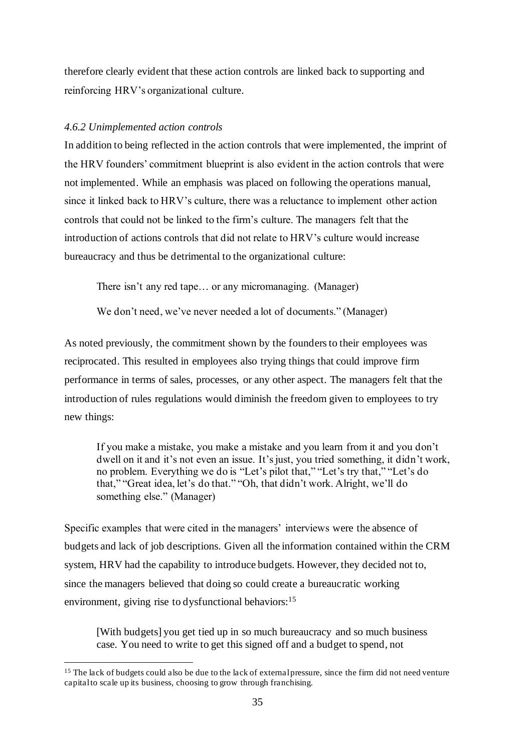therefore clearly evident that these action controls are linked back to supporting and reinforcing HRV's organizational culture.

#### *4.6.2 Unimplemented action controls*

In addition to being reflected in the action controls that were implemented, the imprint of the HRV founders' commitment blueprint is also evident in the action controls that were not implemented. While an emphasis was placed on following the operations manual, since it linked back to HRV's culture, there was a reluctance to implement other action controls that could not be linked to the firm's culture. The managers felt that the introduction of actions controls that did not relate to HRV's culture would increase bureaucracy and thus be detrimental to the organizational culture:

There isn't any red tape… or any micromanaging. (Manager)

We don't need, we've never needed a lot of documents." (Manager)

As noted previously, the commitment shown by the founders to their employees was reciprocated. This resulted in employees also trying things that could improve firm performance in terms of sales, processes, or any other aspect. The managers felt that the introduction of rules regulations would diminish the freedom given to employees to try new things:

If you make a mistake, you make a mistake and you learn from it and you don't dwell on it and it's not even an issue. It's just, you tried something, it didn't work, no problem. Everything we do is "Let's pilot that," "Let's try that," "Let's do that," "Great idea, let's do that." "Oh, that didn't work. Alright, we'll do something else." (Manager)

Specific examples that were cited in the managers' interviews were the absence of budgets and lack of job descriptions. Given all the information contained within the CRM system, HRV had the capability to introduce budgets. However, they decided not to, since the managers believed that doing so could create a bureaucratic working environment, giving rise to dysfunctional behaviors:<sup>15</sup>

[With budgets] you get tied up in so much bureaucracy and so much business case. You need to write to get this signed off and a budget to spend, not

<sup>&</sup>lt;sup>15</sup> The lack of budgets could also be due to the lack of external pressure, since the firm did not need venture capital to scale up its business, choosing to grow through franchising.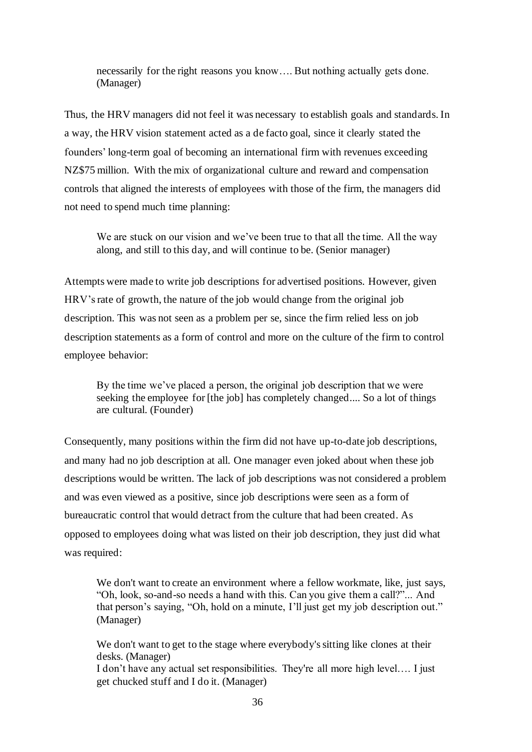necessarily for the right reasons you know…. But nothing actually gets done. (Manager)

Thus, the HRV managers did not feel it was necessary to establish goals and standards. In a way, the HRV vision statement acted as a de facto goal, since it clearly stated the founders' long-term goal of becoming an international firm with revenues exceeding NZ\$75 million. With the mix of organizational culture and reward and compensation controls that aligned the interests of employees with those of the firm, the managers did not need to spend much time planning:

We are stuck on our vision and we've been true to that all the time. All the way along, and still to this day, and will continue to be. (Senior manager)

Attempts were made to write job descriptions for advertised positions. However, given HRV's rate of growth, the nature of the job would change from the original job description. This was not seen as a problem per se, since the firm relied less on job description statements as a form of control and more on the culture of the firm to control employee behavior:

By the time we've placed a person, the original job description that we were seeking the employee for [the job] has completely changed.... So a lot of things are cultural. (Founder)

Consequently, many positions within the firm did not have up-to-date job descriptions, and many had no job description at all. One manager even joked about when these job descriptions would be written. The lack of job descriptions was not considered a problem and was even viewed as a positive, since job descriptions were seen as a form of bureaucratic control that would detract from the culture that had been created. As opposed to employees doing what was listed on their job description, they just did what was required:

We don't want to create an environment where a fellow workmate, like, just says, "Oh, look, so-and-so needs a hand with this. Can you give them a call?"... And that person's saying, "Oh, hold on a minute, I'll just get my job description out." (Manager)

We don't want to get to the stage where everybody's sitting like clones at their desks. (Manager)

I don't have any actual set responsibilities. They're all more high level…. I just get chucked stuff and I do it. (Manager)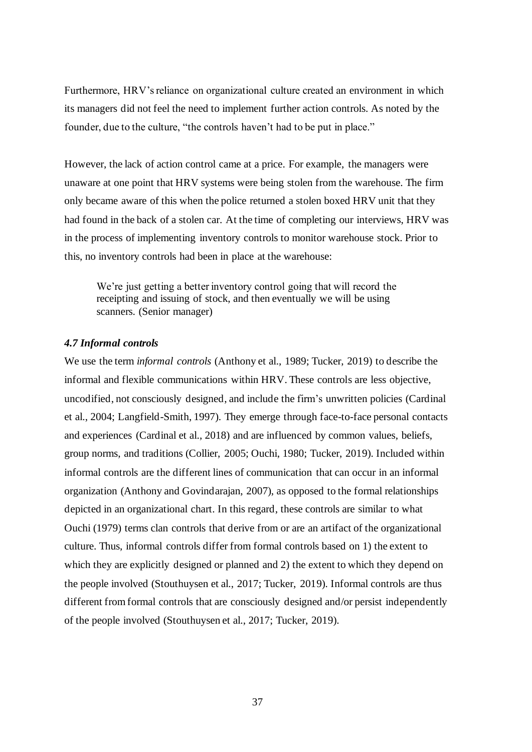Furthermore, HRV's reliance on organizational culture created an environment in which its managers did not feel the need to implement further action controls. As noted by the founder, due to the culture, "the controls haven't had to be put in place."

However, the lack of action control came at a price. For example, the managers were unaware at one point that HRV systems were being stolen from the warehouse. The firm only became aware of this when the police returned a stolen boxed HRV unit that they had found in the back of a stolen car. At the time of completing our interviews, HRV was in the process of implementing inventory controls to monitor warehouse stock. Prior to this, no inventory controls had been in place at the warehouse:

We're just getting a better inventory control going that will record the receipting and issuing of stock, and then eventually we will be using scanners. (Senior manager)

### *4.7 Informal controls*

We use the term *informal controls* (Anthony et al., 1989; Tucker, 2019) to describe the informal and flexible communications within HRV. These controls are less objective, uncodified, not consciously designed, and include the firm's unwritten policies (Cardinal et al., 2004; Langfield-Smith, 1997). They emerge through face-to-face personal contacts and experiences (Cardinal et al., 2018) and are influenced by common values, beliefs, group norms, and traditions (Collier, 2005; Ouchi, 1980; Tucker, 2019). Included within informal controls are the different lines of communication that can occur in an informal organization (Anthony and Govindarajan, 2007), as opposed to the formal relationships depicted in an organizational chart. In this regard, these controls are similar to what Ouchi (1979) terms clan controls that derive from or are an artifact of the organizational culture. Thus, informal controls differ from formal controls based on 1) the extent to which they are explicitly designed or planned and 2) the extent to which they depend on the people involved (Stouthuysen et al., 2017; Tucker, 2019). Informal controls are thus different from formal controls that are consciously designed and/or persist independently of the people involved (Stouthuysen et al., 2017; Tucker, 2019).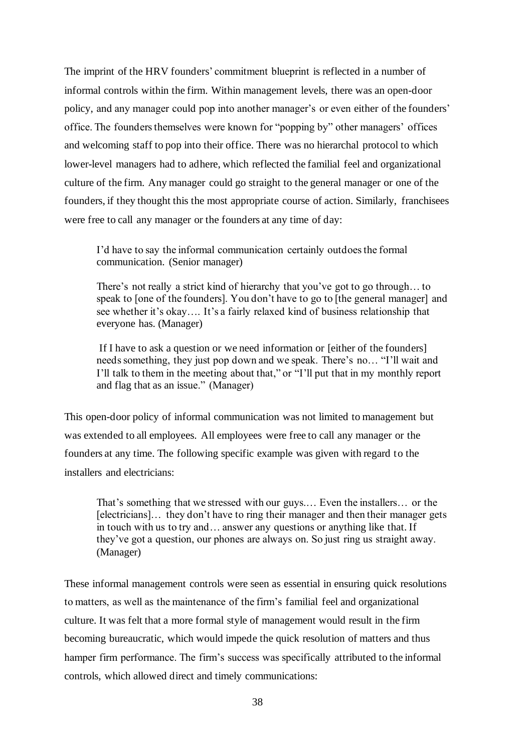The imprint of the HRV founders' commitment blueprint is reflected in a number of informal controls within the firm. Within management levels, there was an open-door policy, and any manager could pop into another manager's or even either of the founders' office. The founders themselves were known for "popping by" other managers' offices and welcoming staff to pop into their office. There was no hierarchal protocol to which lower-level managers had to adhere, which reflected the familial feel and organizational culture of the firm. Any manager could go straight to the general manager or one of the founders, if they thought this the most appropriate course of action. Similarly, franchisees were free to call any manager or the founders at any time of day:

I'd have to say the informal communication certainly outdoes the formal communication. (Senior manager)

There's not really a strict kind of hierarchy that you've got to go through… to speak to [one of the founders]. You don't have to go to [the general manager] and see whether it's okay…. It's a fairly relaxed kind of business relationship that everyone has. (Manager)

If I have to ask a question or we need information or [either of the founders] needs something, they just pop down and we speak. There's no… "I'll wait and I'll talk to them in the meeting about that," or "I'll put that in my monthly report and flag that as an issue." (Manager)

This open-door policy of informal communication was not limited to management but was extended to all employees. All employees were free to call any manager or the founders at any time. The following specific example was given with regard to the installers and electricians:

That's something that we stressed with our guys.… Even the installers… or the [electricians]... they don't have to ring their manager and then their manager gets in touch with us to try and… answer any questions or anything like that. If they've got a question, our phones are always on. So just ring us straight away. (Manager)

These informal management controls were seen as essential in ensuring quick resolutions to matters, as well as the maintenance of the firm's familial feel and organizational culture. It was felt that a more formal style of management would result in the firm becoming bureaucratic, which would impede the quick resolution of matters and thus hamper firm performance. The firm's success was specifically attributed to the informal controls, which allowed direct and timely communications: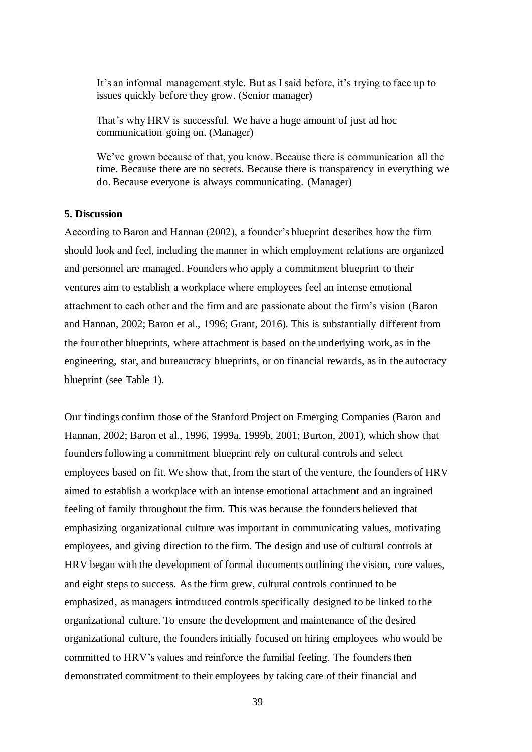It's an informal management style. But as I said before, it's trying to face up to issues quickly before they grow. (Senior manager)

That's why HRV is successful. We have a huge amount of just ad hoc communication going on. (Manager)

We've grown because of that, you know. Because there is communication all the time. Because there are no secrets. Because there is transparency in everything we do. Because everyone is always communicating. (Manager)

### **5. Discussion**

According to Baron and Hannan (2002), a founder's blueprint describes how the firm should look and feel, including the manner in which employment relations are organized and personnel are managed. Founders who apply a commitment blueprint to their ventures aim to establish a workplace where employees feel an intense emotional attachment to each other and the firm and are passionate about the firm's vision (Baron and Hannan, 2002; Baron et al., 1996; Grant, 2016). This is substantially different from the four other blueprints, where attachment is based on the underlying work, as in the engineering, star, and bureaucracy blueprints, or on financial rewards, as in the autocracy blueprint (see Table 1).

Our findings confirm those of the Stanford Project on Emerging Companies (Baron and Hannan, 2002; Baron et al., 1996, 1999a, 1999b, 2001; Burton, 2001), which show that founders following a commitment blueprint rely on cultural controls and select employees based on fit. We show that, from the start of the venture, the founders of HRV aimed to establish a workplace with an intense emotional attachment and an ingrained feeling of family throughout the firm. This was because the founders believed that emphasizing organizational culture was important in communicating values, motivating employees, and giving direction to the firm. The design and use of cultural controls at HRV began with the development of formal documents outlining the vision, core values, and eight steps to success. As the firm grew, cultural controls continued to be emphasized, as managers introduced controls specifically designed to be linked to the organizational culture. To ensure the development and maintenance of the desired organizational culture, the founders initially focused on hiring employees who would be committed to HRV's values and reinforce the familial feeling. The founders then demonstrated commitment to their employees by taking care of their financial and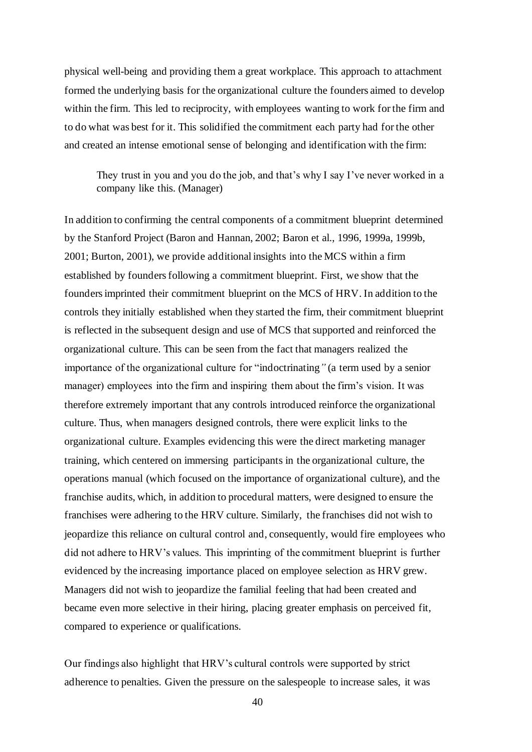physical well-being and providing them a great workplace. This approach to attachment formed the underlying basis for the organizational culture the founders aimed to develop within the firm. This led to reciprocity, with employees wanting to work for the firm and to do what was best for it. This solidified the commitment each party had for the other and created an intense emotional sense of belonging and identification with the firm:

They trust in you and you do the job, and that's why I say I've never worked in a company like this. (Manager)

In addition to confirming the central components of a commitment blueprint determined by the Stanford Project (Baron and Hannan, 2002; Baron et al., 1996, 1999a, 1999b, 2001; Burton, 2001), we provide additional insights into the MCS within a firm established by founders following a commitment blueprint. First, we show that the founders imprinted their commitment blueprint on the MCS of HRV. In addition to the controls they initially established when they started the firm, their commitment blueprint is reflected in the subsequent design and use of MCS that supported and reinforced the organizational culture. This can be seen from the fact that managers realized the importance of the organizational culture for "indoctrinating*"* (a term used by a senior manager) employees into the firm and inspiring them about the firm's vision. It was therefore extremely important that any controls introduced reinforce the organizational culture. Thus, when managers designed controls, there were explicit links to the organizational culture. Examples evidencing this were the direct marketing manager training, which centered on immersing participants in the organizational culture, the operations manual (which focused on the importance of organizational culture), and the franchise audits, which, in addition to procedural matters, were designed to ensure the franchises were adhering to the HRV culture. Similarly, the franchises did not wish to jeopardize this reliance on cultural control and, consequently, would fire employees who did not adhere to HRV's values. This imprinting of the commitment blueprint is further evidenced by the increasing importance placed on employee selection as HRV grew. Managers did not wish to jeopardize the familial feeling that had been created and became even more selective in their hiring, placing greater emphasis on perceived fit, compared to experience or qualifications.

Our findings also highlight that HRV's cultural controls were supported by strict adherence to penalties. Given the pressure on the salespeople to increase sales, it was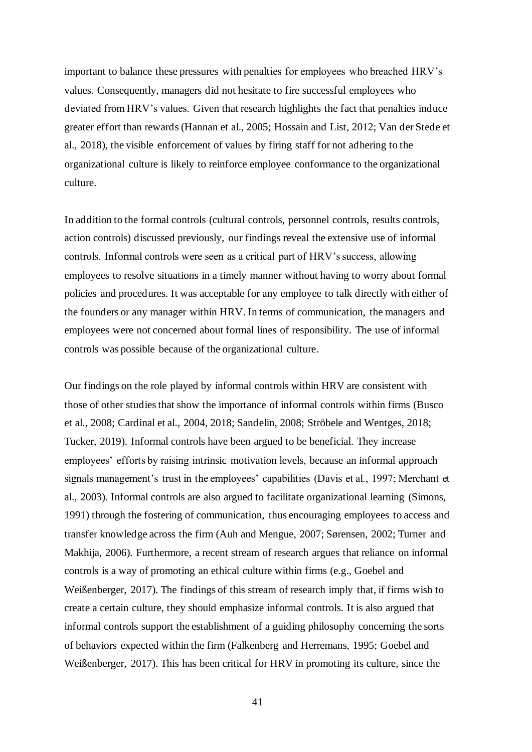important to balance these pressures with penalties for employees who breached HRV's values. Consequently, managers did not hesitate to fire successful employees who deviated from HRV's values. Given that research highlights the fact that penalties induce greater effort than rewards (Hannan et al., 2005; Hossain and List, 2012; Van der Stede et al., 2018), the visible enforcement of values by firing staff for not adhering to the organizational culture is likely to reinforce employee conformance to the organizational culture.

In addition to the formal controls (cultural controls, personnel controls, results controls, action controls) discussed previously, our findings reveal the extensive use of informal controls. Informal controls were seen as a critical part of HRV's success, allowing employees to resolve situations in a timely manner without having to worry about formal policies and procedures. It was acceptable for any employee to talk directly with either of the founders or any manager within HRV. In terms of communication, the managers and employees were not concerned about formal lines of responsibility. The use of informal controls was possible because of the organizational culture.

Our findings on the role played by informal controls within HRV are consistent with those of other studies that show the importance of informal controls within firms (Busco et al., 2008; Cardinal et al., 2004, 2018; Sandelin, 2008; Ströbele and Wentges, 2018; Tucker, 2019). Informal controls have been argued to be beneficial. They increase employees' efforts by raising intrinsic motivation levels, because an informal approach signals management's trust in the employees' capabilities (Davis et al., 1997; Merchant et al., 2003). Informal controls are also argued to facilitate organizational learning (Simons, 1991) through the fostering of communication, thus encouraging employees to access and transfer knowledge across the firm (Auh and Mengue, 2007; Sørensen, 2002; Turner and Makhija, 2006). Furthermore, a recent stream of research argues that reliance on informal controls is a way of promoting an ethical culture within firms (e.g., Goebel and Weißenberger, 2017). The findings of this stream of research imply that, if firms wish to create a certain culture, they should emphasize informal controls. It is also argued that informal controls support the establishment of a guiding philosophy concerning the sorts of behaviors expected within the firm (Falkenberg and Herremans, 1995; Goebel and Weißenberger, 2017). This has been critical for HRV in promoting its culture, since the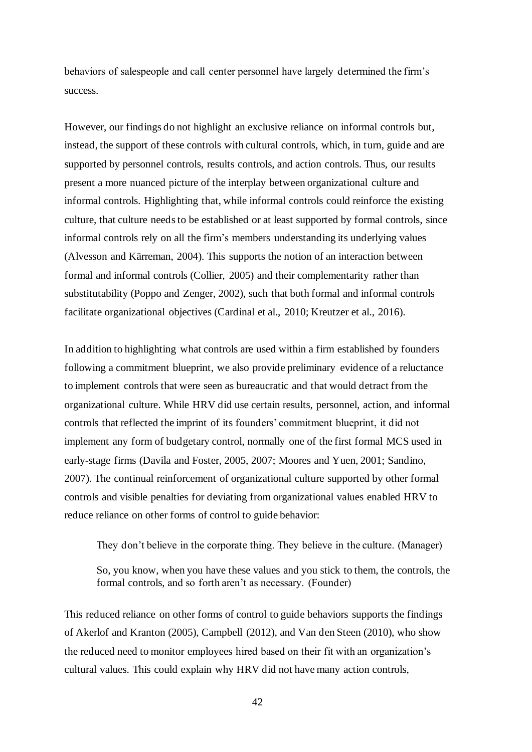behaviors of salespeople and call center personnel have largely determined the firm's success.

However, our findings do not highlight an exclusive reliance on informal controls but, instead, the support of these controls with cultural controls, which, in turn, guide and are supported by personnel controls, results controls, and action controls. Thus, our results present a more nuanced picture of the interplay between organizational culture and informal controls. Highlighting that, while informal controls could reinforce the existing culture, that culture needs to be established or at least supported by formal controls, since informal controls rely on all the firm's members understanding its underlying values (Alvesson and Kärreman, 2004). This supports the notion of an interaction between formal and informal controls (Collier, 2005) and their complementarity rather than substitutability (Poppo and Zenger, 2002), such that both formal and informal controls facilitate organizational objectives (Cardinal et al., 2010; Kreutzer et al., 2016).

In addition to highlighting what controls are used within a firm established by founders following a commitment blueprint, we also provide preliminary evidence of a reluctance to implement controls that were seen as bureaucratic and that would detract from the organizational culture. While HRV did use certain results, personnel, action, and informal controls that reflected the imprint of its founders' commitment blueprint, it did not implement any form of budgetary control, normally one of the first formal MCS used in early-stage firms (Davila and Foster, 2005, 2007; Moores and Yuen, 2001; Sandino, 2007). The continual reinforcement of organizational culture supported by other formal controls and visible penalties for deviating from organizational values enabled HRV to reduce reliance on other forms of control to guide behavior:

They don't believe in the corporate thing. They believe in the culture. (Manager)

So, you know, when you have these values and you stick to them, the controls, the formal controls, and so forth aren't as necessary. (Founder)

This reduced reliance on other forms of control to guide behaviors supports the findings of Akerlof and Kranton (2005), Campbell (2012), and Van den Steen (2010), who show the reduced need to monitor employees hired based on their fit with an organization's cultural values. This could explain why HRV did not have many action controls,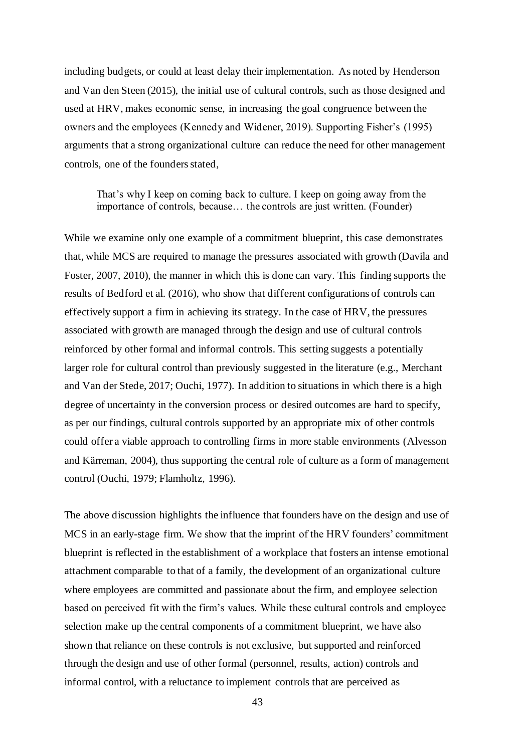including budgets, or could at least delay their implementation. As noted by Henderson and Van den Steen (2015), the initial use of cultural controls, such as those designed and used at HRV, makes economic sense, in increasing the goal congruence between the owners and the employees (Kennedy and Widener, 2019). Supporting Fisher's (1995) arguments that a strong organizational culture can reduce the need for other management controls, one of the founders stated,

That's why I keep on coming back to culture. I keep on going away from the importance of controls, because… the controls are just written. (Founder)

While we examine only one example of a commitment blueprint, this case demonstrates that, while MCS are required to manage the pressures associated with growth (Davila and Foster, 2007, 2010), the manner in which this is done can vary. This finding supports the results of Bedford et al. (2016), who show that different configurations of controls can effectively support a firm in achieving its strategy. In the case of HRV, the pressures associated with growth are managed through the design and use of cultural controls reinforced by other formal and informal controls. This setting suggests a potentially larger role for cultural control than previously suggested in the literature (e.g., Merchant and Van der Stede, 2017; Ouchi, 1977). In addition to situations in which there is a high degree of uncertainty in the conversion process or desired outcomes are hard to specify, as per our findings, cultural controls supported by an appropriate mix of other controls could offer a viable approach to controlling firms in more stable environments (Alvesson and Kärreman, 2004), thus supporting the central role of culture as a form of management control (Ouchi, 1979; Flamholtz, 1996).

The above discussion highlights the influence that founders have on the design and use of MCS in an early-stage firm. We show that the imprint of the HRV founders' commitment blueprint is reflected in the establishment of a workplace that fosters an intense emotional attachment comparable to that of a family, the development of an organizational culture where employees are committed and passionate about the firm, and employee selection based on perceived fit with the firm's values. While these cultural controls and employee selection make up the central components of a commitment blueprint, we have also shown that reliance on these controls is not exclusive, but supported and reinforced through the design and use of other formal (personnel, results, action) controls and informal control, with a reluctance to implement controls that are perceived as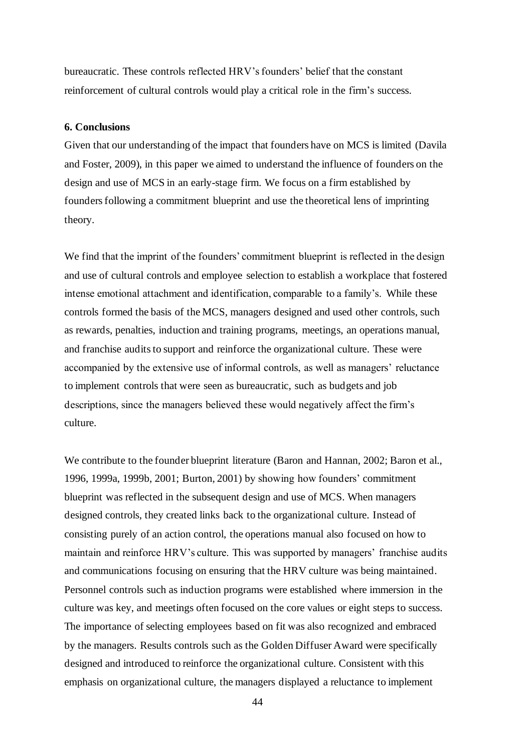bureaucratic. These controls reflected HRV's founders' belief that the constant reinforcement of cultural controls would play a critical role in the firm's success.

### **6. Conclusions**

Given that our understanding of the impact that founders have on MCS is limited (Davila and Foster, 2009), in this paper we aimed to understand the influence of founders on the design and use of MCS in an early-stage firm. We focus on a firm established by founders following a commitment blueprint and use the theoretical lens of imprinting theory.

We find that the imprint of the founders' commitment blueprint is reflected in the design and use of cultural controls and employee selection to establish a workplace that fostered intense emotional attachment and identification, comparable to a family's. While these controls formed the basis of the MCS, managers designed and used other controls, such as rewards, penalties, induction and training programs, meetings, an operations manual, and franchise audits to support and reinforce the organizational culture. These were accompanied by the extensive use of informal controls, as well as managers' reluctance to implement controls that were seen as bureaucratic, such as budgets and job descriptions, since the managers believed these would negatively affect the firm's culture.

We contribute to the founder blueprint literature (Baron and Hannan, 2002; Baron et al., 1996, 1999a, 1999b, 2001; Burton, 2001) by showing how founders' commitment blueprint was reflected in the subsequent design and use of MCS. When managers designed controls, they created links back to the organizational culture. Instead of consisting purely of an action control, the operations manual also focused on how to maintain and reinforce HRV's culture. This was supported by managers' franchise audits and communications focusing on ensuring that the HRV culture was being maintained. Personnel controls such as induction programs were established where immersion in the culture was key, and meetings often focused on the core values or eight steps to success. The importance of selecting employees based on fit was also recognized and embraced by the managers. Results controls such as the Golden Diffuser Award were specifically designed and introduced to reinforce the organizational culture. Consistent with this emphasis on organizational culture, the managers displayed a reluctance to implement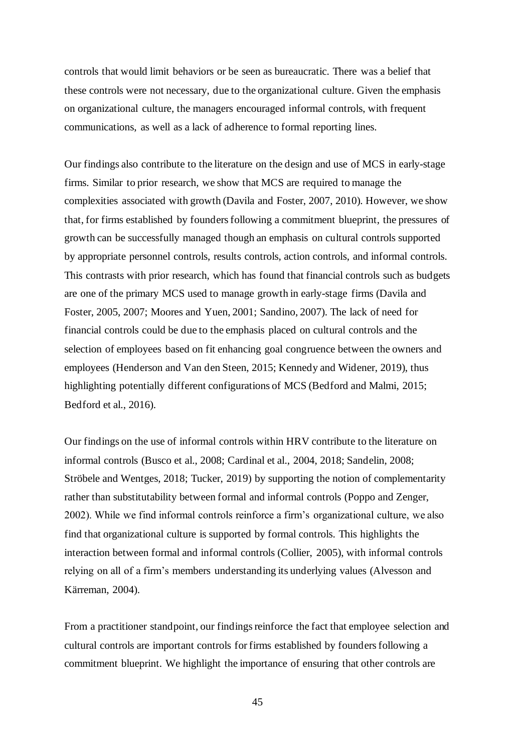controls that would limit behaviors or be seen as bureaucratic. There was a belief that these controls were not necessary, due to the organizational culture. Given the emphasis on organizational culture, the managers encouraged informal controls, with frequent communications, as well as a lack of adherence to formal reporting lines.

Our findings also contribute to the literature on the design and use of MCS in early-stage firms. Similar to prior research, we show that MCS are required to manage the complexities associated with growth (Davila and Foster, 2007, 2010). However, we show that, for firms established by founders following a commitment blueprint, the pressures of growth can be successfully managed though an emphasis on cultural controls supported by appropriate personnel controls, results controls, action controls, and informal controls. This contrasts with prior research, which has found that financial controls such as budgets are one of the primary MCS used to manage growth in early-stage firms (Davila and Foster, 2005, 2007; Moores and Yuen, 2001; Sandino, 2007). The lack of need for financial controls could be due to the emphasis placed on cultural controls and the selection of employees based on fit enhancing goal congruence between the owners and employees (Henderson and Van den Steen, 2015; Kennedy and Widener, 2019), thus highlighting potentially different configurations of MCS (Bedford and Malmi, 2015; Bedford et al., 2016).

Our findings on the use of informal controls within HRV contribute to the literature on informal controls (Busco et al., 2008; Cardinal et al., 2004, 2018; Sandelin, 2008; Ströbele and Wentges, 2018; Tucker, 2019) by supporting the notion of complementarity rather than substitutability between formal and informal controls (Poppo and Zenger, 2002). While we find informal controls reinforce a firm's organizational culture, we also find that organizational culture is supported by formal controls. This highlights the interaction between formal and informal controls (Collier, 2005), with informal controls relying on all of a firm's members understanding its underlying values (Alvesson and Kärreman, 2004).

From a practitioner standpoint, our findings reinforce the fact that employee selection and cultural controls are important controls for firms established by founders following a commitment blueprint. We highlight the importance of ensuring that other controls are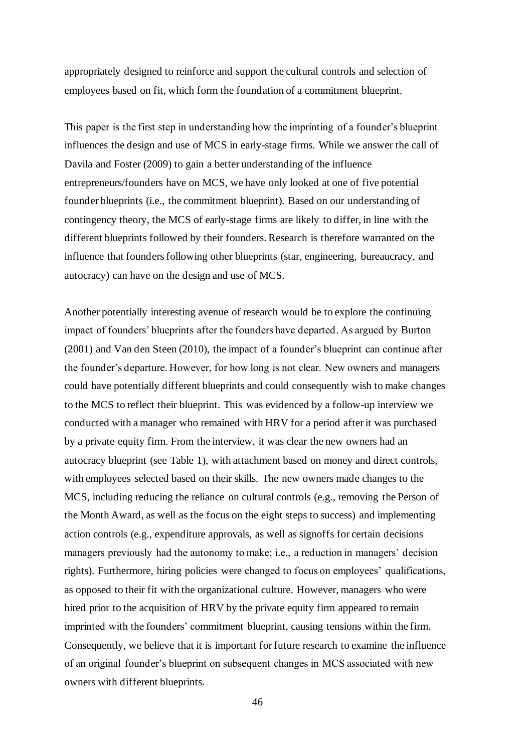appropriately designed to reinforce and support the cultural controls and selection of employees based on fit, which form the foundation of a commitment blueprint.

This paper is the first step in understanding how the imprinting of a founder's blueprint influences the design and use of MCS in early-stage firms. While we answer the call of Davila and Foster (2009) to gain a better understanding of the influence entrepreneurs/founders have on MCS, we have only looked at one of five potential founder blueprints (i.e., the commitment blueprint). Based on our understanding of contingency theory, the MCS of early-stage firms are likely to differ, in line with the different blueprints followed by their founders. Research is therefore warranted on the influence that founders following other blueprints (star, engineering, bureaucracy, and autocracy) can have on the design and use of MCS.

Another potentially interesting avenue of research would be to explore the continuing impact of founders' blueprints after the founders have departed. As argued by Burton (2001) and Van den Steen (2010), the impact of a founder's blueprint can continue after the founder's departure. However, for how long is not clear. New owners and managers could have potentially different blueprints and could consequently wish to make changes to the MCS to reflect their blueprint. This was evidenced by a follow-up interview we conducted with a manager who remained with HRV for a period after it was purchased by a private equity firm. From the interview, it was clear the new owners had an autocracy blueprint (see Table 1), with attachment based on money and direct controls, with employees selected based on their skills. The new owners made changes to the MCS, including reducing the reliance on cultural controls (e.g., removing the Person of the Month Award, as well as the focus on the eight steps to success) and implementing action controls (e.g., expenditure approvals, as well as signoffs for certain decisions managers previously had the autonomy to make; i.e., a reduction in managers' decision rights). Furthermore, hiring policies were changed to focus on employees' qualifications, as opposed to their fit with the organizational culture. However, managers who were hired prior to the acquisition of HRV by the private equity firm appeared to remain imprinted with the founders' commitment blueprint, causing tensions within the firm. Consequently, we believe that it is important for future research to examine the influence of an original founder's blueprint on subsequent changes in MCS associated with new owners with different blueprints.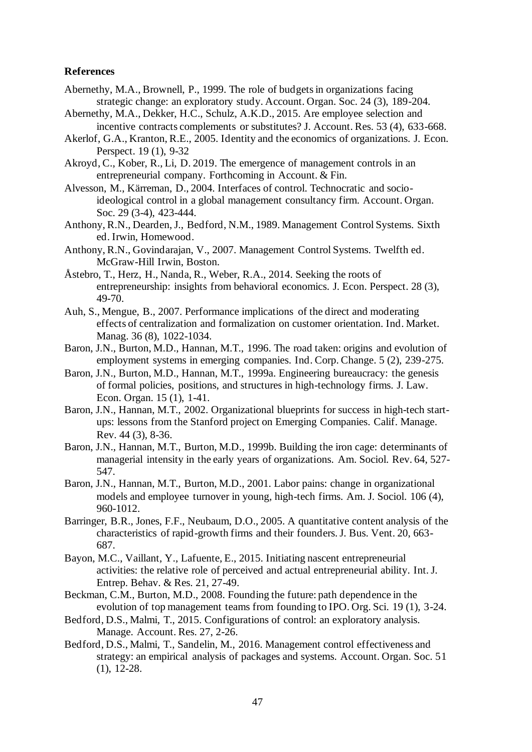# **References**

- Abernethy, M.A., Brownell, P., 1999. The role of budgets in organizations facing strategic change: an exploratory study. Account. Organ. Soc. 24 (3), 189-204.
- Abernethy, M.A., Dekker, H.C., Schulz, A.K.D., 2015. Are employee selection and incentive contracts complements or substitutes? J. Account. Res. 53 (4), 633-668.
- Akerlof, G.A., Kranton, R.E., 2005. Identity and the economics of organizations. J. Econ. Perspect. 19 (1), 9-32
- Akroyd, C., Kober, R., Li, D. 2019. The emergence of management controls in an entrepreneurial company. Forthcoming in Account. & Fin.
- Alvesson, M., Kärreman, D., 2004. Interfaces of control. Technocratic and socioideological control in a global management consultancy firm. Account. Organ. Soc. 29 (3-4), 423-444.
- Anthony, R.N., Dearden, J., Bedford, N.M., 1989. Management Control Systems. Sixth ed. Irwin, Homewood.
- Anthony, R.N., Govindarajan, V., 2007. Management Control Systems. Twelfth ed. McGraw-Hill Irwin, Boston.
- Åstebro, T., Herz, H., Nanda, R., Weber, R.A., 2014. Seeking the roots of entrepreneurship: insights from behavioral economics. J. Econ. Perspect. 28 (3), 49-70.
- Auh, S., Mengue, B., 2007. Performance implications of the direct and moderating effects of centralization and formalization on customer orientation. Ind. Market. Manag. 36 (8), 1022-1034.
- Baron, J.N., Burton, M.D., Hannan, M.T., 1996. The road taken: origins and evolution of employment systems in emerging companies. Ind. Corp. Change. 5 (2), 239-275.
- Baron, J.N., Burton, M.D., Hannan, M.T., 1999a. Engineering bureaucracy: the genesis of formal policies, positions, and structures in high-technology firms. J. Law. Econ. Organ. 15 (1), 1-41.
- Baron, J.N., Hannan, M.T., 2002. Organizational blueprints for success in high-tech startups: lessons from the Stanford project on Emerging Companies. Calif. Manage. Rev. 44 (3), 8-36.
- Baron, J.N., Hannan, M.T., Burton, M.D., 1999b. Building the iron cage: determinants of managerial intensity in the early years of organizations. Am. Sociol. Rev. 64, 527- 547.
- Baron, J.N., Hannan, M.T., Burton, M.D., 2001. Labor pains: change in organizational models and employee turnover in young, high-tech firms. Am. J. Sociol. 106 (4), 960-1012.
- Barringer, B.R., Jones, F.F., Neubaum, D.O., 2005. A quantitative content analysis of the characteristics of rapid-growth firms and their founders. J. Bus. Vent. 20, 663- 687.
- Bayon, M.C., Vaillant, Y., Lafuente, E., 2015. Initiating nascent entrepreneurial activities: the relative role of perceived and actual entrepreneurial ability. Int. J. Entrep. Behav. & Res. 21, 27-49.
- Beckman, C.M., Burton, M.D., 2008. Founding the future: path dependence in the evolution of top management teams from founding to IPO. Org. Sci. 19 (1), 3-24.
- Bedford, D.S., Malmi, T., 2015. Configurations of control: an exploratory analysis. Manage. Account. Res. 27, 2-26.
- Bedford, D.S., Malmi, T., Sandelin, M., 2016. Management control effectiveness and strategy: an empirical analysis of packages and systems. Account. Organ. Soc. 51 (1), 12-28.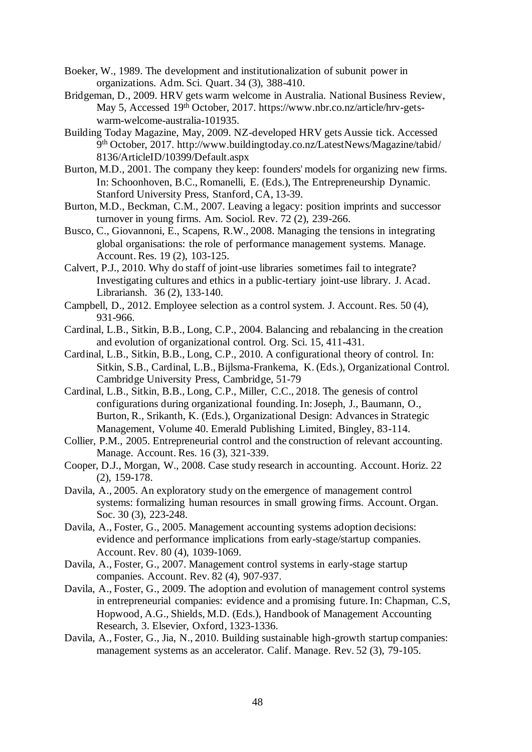- Boeker, W., 1989. The development and institutionalization of subunit power in organizations. Adm. Sci. Quart. 34 (3), 388-410.
- Bridgeman, D., 2009. HRV gets warm welcome in Australia. National Business Review, May 5, Accessed 19<sup>th</sup> October, 2017. https://www.nbr.co.nz/article/hrv-getswarm-welcome-australia-101935.
- Building Today Magazine, May, 2009. NZ-developed HRV gets Aussie tick. Accessed 9 th October, 2017.<http://www.buildingtoday.co.nz/LatestNews/Magazine/tabid/> 8136/ArticleID/10399/Default.aspx
- Burton, M.D., 2001. The company they keep: founders' models for organizing new firms. In: Schoonhoven, B.C., Romanelli, E. (Eds.), The Entrepreneurship Dynamic. Stanford University Press, Stanford, CA, 13-39.
- Burton, M.D., Beckman, C.M., 2007. Leaving a legacy: position imprints and successor turnover in young firms. Am. Sociol. Rev. 72 (2), 239-266.
- Busco, C., Giovannoni, E., Scapens, R.W., 2008. Managing the tensions in integrating global organisations: the role of performance management systems. Manage. Account. Res. 19 (2), 103-125.
- Calvert, P.J., 2010. Why do staff of joint-use libraries sometimes fail to integrate? Investigating cultures and ethics in a public-tertiary joint-use library. J. Acad. Librariansh. 36 (2), 133-140.
- Campbell, D., 2012. Employee selection as a control system. J. Account. Res. 50 (4), 931-966.
- Cardinal, L.B., Sitkin, B.B., Long, C.P., 2004. Balancing and rebalancing in the creation and evolution of organizational control. Org. Sci. 15, 411-431.
- Cardinal, L.B., Sitkin, B.B., Long, C.P., 2010. A configurational theory of control. In: Sitkin, S.B., Cardinal, L.B., Bijlsma-Frankema, K. (Eds.), Organizational Control. Cambridge University Press, Cambridge, 51-79
- Cardinal, L.B., Sitkin, B.B., Long, C.P., Miller, C.C., 2018. The genesis of control configurations during organizational founding. In: Joseph, J., Baumann, O., Burton, R., Srikanth, K. (Eds.), Organizational Design: Advances in Strategic Management, Volume 40. Emerald Publishing Limited, Bingley, 83-114.
- Collier, P.M., 2005. Entrepreneurial control and the construction of relevant accounting. Manage. Account. Res. 16 (3), 321-339.
- Cooper, D.J., Morgan, W., 2008. Case study research in accounting. Account. Horiz. 22 (2), 159-178.
- Davila, A., 2005. An exploratory study on the emergence of management control systems: formalizing human resources in small growing firms. Account. Organ. Soc. 30 (3), 223-248.
- Davila, A., Foster, G., 2005. Management accounting systems adoption decisions: evidence and performance implications from early-stage/startup companies. Account. Rev. 80 (4), 1039-1069.
- Davila, A., Foster, G., 2007. Management control systems in early-stage startup companies. Account. Rev. 82 (4), 907-937.
- Davila, A., Foster, G., 2009. The adoption and evolution of management control systems in entrepreneurial companies: evidence and a promising future. In: Chapman, C.S, Hopwood, A.G., Shields, M.D. (Eds.), Handbook of Management Accounting Research, 3. Elsevier, Oxford, 1323-1336.
- Davila, A., Foster, G., Jia, N., 2010. Building sustainable high-growth startup companies: management systems as an accelerator. Calif. Manage. Rev. 52 (3), 79-105.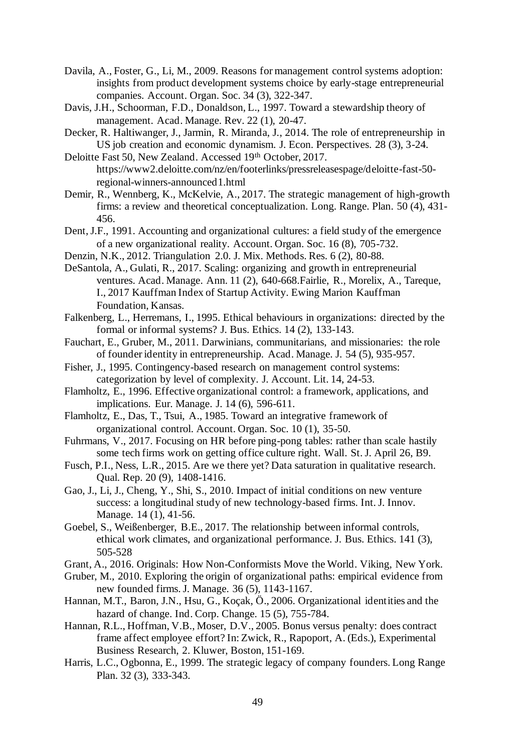- Davila, A., Foster, G., Li, M., 2009. Reasons for management control systems adoption: insights from product development systems choice by early-stage entrepreneurial companies. Account. Organ. Soc. 34 (3), 322-347.
- Davis, J.H., Schoorman, F.D., Donaldson, L., 1997. Toward a stewardship theory of management. Acad. Manage. Rev. 22 (1), 20-47.
- Decker, R. Haltiwanger, J., Jarmin, R. Miranda, J., 2014. The role of entrepreneurship in US job creation and economic dynamism. J. Econ. Perspectives. 28 (3), 3-24.
- Deloitte Fast 50, New Zealand. Accessed 19th October, 2017. https://www2.deloitte.com/nz/en/footerlinks/pressreleasespage/deloitte-fast-50 regional-winners-announced1.html
- Demir, R., Wennberg, K., McKelvie, A., 2017. The strategic management of high-growth firms: a review and theoretical conceptualization. Long. Range. Plan. 50 (4), 431- 456.
- Dent, J.F., 1991. Accounting and organizational cultures: a field study of the emergence of a new organizational reality. Account. Organ. Soc. 16 (8), 705-732.
- Denzin, N.K., 2012. Triangulation 2.0. J. Mix. Methods. Res. 6 (2), 80-88.
- DeSantola, A., Gulati, R., 2017. Scaling: organizing and growth in entrepreneurial ventures. Acad. Manage. Ann. 11 (2), 640-668.Fairlie, R., Morelix, A., Tareque, I., 2017 Kauffman Index of Startup Activity. Ewing Marion Kauffman Foundation, Kansas.
- Falkenberg, L., Herremans, I., 1995. Ethical behaviours in organizations: directed by the formal or informal systems? J. Bus. Ethics. 14 (2), 133-143.
- Fauchart, E., Gruber, M., 2011. Darwinians, communitarians, and missionaries: the role of founder identity in entrepreneurship. Acad. Manage. J. 54 (5), 935-957.
- Fisher, J., 1995. Contingency-based research on management control systems: categorization by level of complexity. J. Account. Lit. 14, 24-53.
- Flamholtz, E., 1996. Effective organizational control: a framework, applications, and implications. Eur. Manage. J. 14 (6), 596-611.
- Flamholtz, E., Das, T., Tsui, A., 1985. Toward an integrative framework of organizational control. Account. Organ. Soc. 10 (1), 35-50.
- Fuhrmans, V., 2017. Focusing on HR before ping-pong tables: rather than scale hastily some tech firms work on getting office culture right. Wall. St.J. April 26, B9.
- Fusch, P.I., Ness, L.R., 2015. Are we there yet? Data saturation in qualitative research. Qual. Rep. 20 (9), 1408-1416.
- Gao, J., Li, J., Cheng, Y., Shi, S., 2010. Impact of initial conditions on new venture success: a longitudinal study of new technology-based firms. Int. J. Innov. Manage. 14 (1), 41-56.
- Goebel, S., Weißenberger, B.E., 2017. The relationship between informal controls, ethical work climates, and organizational performance. J. Bus. Ethics. 141 (3), 505-528
- Grant, A., 2016. Originals: How Non-Conformists Move the World. Viking, New York.
- Gruber, M., 2010. Exploring the origin of organizational paths: empirical evidence from new founded firms. J. Manage. 36 (5), 1143-1167.
- Hannan, M.T., Baron, J.N., Hsu, G., Koçak, Ö., 2006. Organizational identities and the hazard of change. Ind. Corp. Change. 15 (5), 755-784.
- Hannan, R.L., Hoffman, V.B., Moser, D.V., 2005. Bonus versus penalty: does contract frame affect employee effort? In: Zwick, R., Rapoport, A. (Eds.), Experimental Business Research, 2. Kluwer, Boston, 151-169.
- Harris, L.C., Ogbonna, E., 1999. The strategic legacy of company founders. Long Range Plan. 32 (3), 333-343.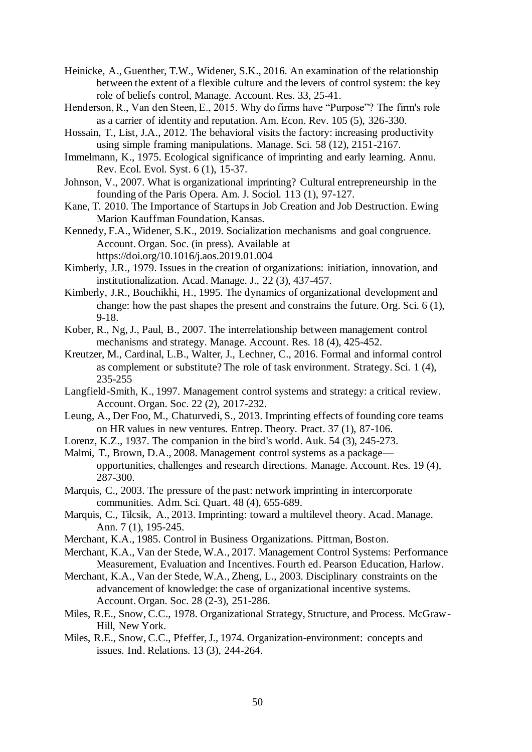- Heinicke, A., Guenther, T.W., Widener, S.K., 2016. An examination of the relationship between the extent of a flexible culture and the levers of control system: the key role of beliefs control, Manage. Account. Res. 33, 25-41.
- Henderson, R., Van den Steen, E., 2015. Why do firms have "Purpose"? The firm's role as a carrier of identity and reputation. Am. Econ. Rev. 105 (5), 326-330.
- Hossain, T., List, J.A., 2012. The behavioral visits the factory: increasing productivity using simple framing manipulations. Manage. Sci. 58 (12), 2151-2167.
- Immelmann, K., 1975. Ecological significance of imprinting and early learning. Annu. Rev. Ecol. Evol. Syst. 6 (1), 15-37.
- Johnson, V., 2007. What is organizational imprinting? Cultural entrepreneurship in the founding of the Paris Opera. Am. J. Sociol. 113 (1), 97-127.
- Kane, T. 2010. The Importance of Startups in Job Creation and Job Destruction. Ewing Marion Kauffman Foundation, Kansas.
- Kennedy, F.A., Widener, S.K., 2019. Socialization mechanisms and goal congruence. Account. Organ. Soc. (in press). Available at https://doi.org/10.1016/j.aos.2019.01.004
- Kimberly, J.R., 1979. Issues in the creation of organizations: initiation, innovation, and institutionalization. Acad. Manage. J., 22 (3), 437-457.
- Kimberly, J.R., Bouchikhi, H., 1995. The dynamics of organizational development and change: how the past shapes the present and constrains the future. Org. Sci. 6 (1), 9-18.
- Kober, R., Ng, J., Paul, B., 2007. The interrelationship between management control mechanisms and strategy. Manage. Account. Res. 18 (4), 425-452.
- Kreutzer, M., Cardinal, L.B., Walter, J., Lechner, C., 2016. Formal and informal control as complement or substitute? The role of task environment. Strategy. Sci. 1 (4), 235-255
- Langfield-Smith, K., 1997. Management control systems and strategy: a critical review. Account. Organ. Soc. 22 (2), 2017-232.
- Leung, A., Der Foo, M., Chaturvedi, S., 2013. Imprinting effects of founding core teams on HR values in new ventures. Entrep. Theory. Pract. 37 (1), 87-106.
- Lorenz, K.Z., 1937. The companion in the bird's world. Auk. 54 (3), 245-273.
- Malmi, T., Brown, D.A., 2008. Management control systems as a package opportunities, challenges and research directions. Manage. Account. Res. 19 (4), 287-300.
- Marquis, C., 2003. The pressure of the past: network imprinting in intercorporate communities. Adm. Sci. Quart. 48 (4), 655-689.
- Marquis, C., Tilcsik, A., 2013. Imprinting: toward a multilevel theory. Acad. Manage. Ann. 7 (1), 195-245.
- Merchant, K.A., 1985. Control in Business Organizations. Pittman, Boston.
- Merchant, K.A., Van der Stede, W.A., 2017. Management Control Systems: Performance Measurement, Evaluation and Incentives. Fourth ed. Pearson Education, Harlow.
- Merchant, K.A., Van der Stede, W.A., Zheng, L., 2003. Disciplinary constraints on the advancement of knowledge: the case of organizational incentive systems. Account. Organ. Soc. 28 (2-3), 251-286.
- Miles, R.E., Snow, C.C., 1978. Organizational Strategy, Structure, and Process. McGraw-Hill, New York.
- Miles, R.E., Snow, C.C., Pfeffer, J., 1974. Organization-environment: concepts and issues. Ind. Relations. 13 (3), 244-264.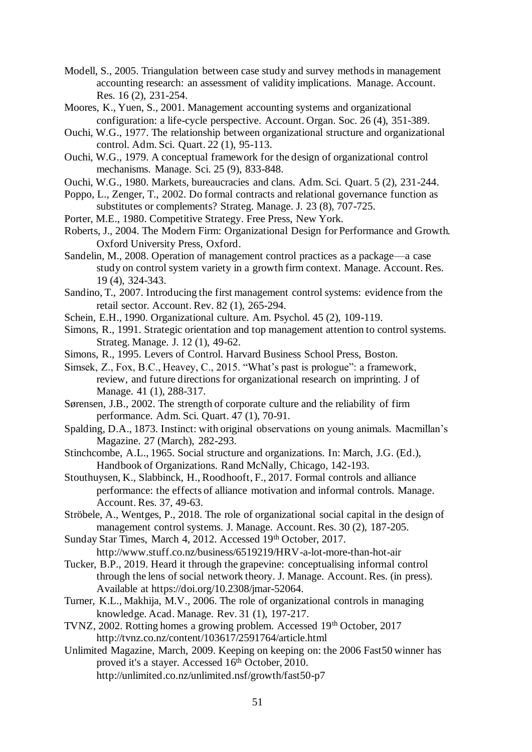- Modell, S., 2005. Triangulation between case study and survey methods in management accounting research: an assessment of validity implications. Manage. Account. Res. 16 (2), 231-254.
- Moores, K., Yuen, S., 2001. Management accounting systems and organizational configuration: a life-cycle perspective. Account. Organ. Soc. 26 (4), 351-389.
- Ouchi, W.G., 1977. The relationship between organizational structure and organizational control. Adm. Sci. Quart. 22 (1), 95-113.
- Ouchi, W.G., 1979. A conceptual framework for the design of organizational control mechanisms. Manage. Sci. 25 (9), 833-848.
- Ouchi, W.G., 1980. Markets, bureaucracies and clans. Adm. Sci. Quart. 5 (2), 231-244.
- Poppo, L., Zenger, T., 2002. Do formal contracts and relational governance function as substitutes or complements? Strateg. Manage. J. 23 (8), 707-725.
- Porter, M.E., 1980. Competitive Strategy. Free Press, New York.
- Roberts, J., 2004. The Modern Firm: Organizational Design for Performance and Growth. Oxford University Press, Oxford.
- Sandelin, M., 2008. Operation of management control practices as a package—a case study on control system variety in a growth firm context. Manage. Account. Res. 19 (4), 324-343.
- Sandino, T., 2007. Introducing the first management control systems: evidence from the retail sector. Account. Rev. 82 (1), 265-294.
- Schein, E.H., 1990. Organizational culture. Am. Psychol. 45 (2), 109-119.
- Simons, R., 1991. Strategic orientation and top management attention to control systems. Strateg. Manage. J. 12 (1), 49-62.
- Simons, R., 1995. Levers of Control. Harvard Business School Press, Boston.
- Simsek, Z., Fox, B.C., Heavey, C., 2015. "What's past is prologue": a framework, review, and future directions for organizational research on imprinting. J of Manage. 41 (1), 288-317.
- Sørensen, J.B., 2002. The strength of corporate culture and the reliability of firm performance. Adm. Sci. Quart. 47 (1), 70-91.
- Spalding, D.A., 1873. Instinct: with original observations on young animals. Macmillan's Magazine. 27 (March), 282-293.
- Stinchcombe, A.L., 1965. Social structure and organizations. In: March, J.G. (Ed.), Handbook of Organizations. Rand McNally, Chicago, 142-193.
- Stouthuysen, K., Slabbinck, H., Roodhooft, F., 2017. Formal controls and alliance performance: the effects of alliance motivation and informal controls. Manage. Account. Res. 37, 49-63.
- Ströbele, A., Wentges, P., 2018. The role of organizational social capital in the design of management control systems. J. Manage. Account. Res. 30 (2), 187-205.
- Sunday Star Times, March 4, 2012. Accessed 19th October, 2017.

http://www.stuff.co.nz/business/6519219/HRV-a-lot-more-than-hot-air

- Tucker, B.P., 2019. Heard it through the grapevine: conceptualising informal control through the lens of social network theory. J. Manage. Account. Res. (in press). Available at https://doi.org/10.2308/jmar-52064.
- Turner, K.L., Makhija, M.V., 2006. The role of organizational controls in managing knowledge. Acad. Manage. Rev. 31 (1), 197-217.
- TVNZ, 2002. Rotting homes a growing problem. Accessed 19th October, 2017 http://tvnz.co.nz/content/103617/2591764/article.html
- Unlimited Magazine, March, 2009. Keeping on keeping on: the 2006 Fast50 winner has proved it's a stayer. Accessed 16<sup>th</sup> October, 2010. http://unlimited.co.nz/unlimited.nsf/growth/fast50-p7